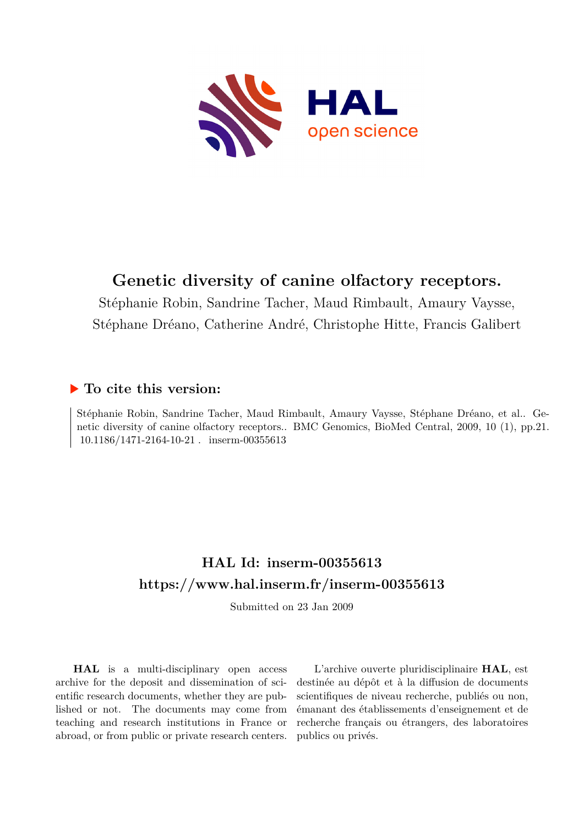

# **Genetic diversity of canine olfactory receptors.**

Stéphanie Robin, Sandrine Tacher, Maud Rimbault, Amaury Vaysse, Stéphane Dréano, Catherine André, Christophe Hitte, Francis Galibert

# **To cite this version:**

Stéphanie Robin, Sandrine Tacher, Maud Rimbault, Amaury Vaysse, Stéphane Dréano, et al.. Genetic diversity of canine olfactory receptors.. BMC Genomics, BioMed Central, 2009, 10 (1), pp.21.  $10.1186/1471-2164-10-21$ . inserm-00355613

# **HAL Id: inserm-00355613 <https://www.hal.inserm.fr/inserm-00355613>**

Submitted on 23 Jan 2009

**HAL** is a multi-disciplinary open access archive for the deposit and dissemination of scientific research documents, whether they are published or not. The documents may come from teaching and research institutions in France or abroad, or from public or private research centers.

L'archive ouverte pluridisciplinaire **HAL**, est destinée au dépôt et à la diffusion de documents scientifiques de niveau recherche, publiés ou non, émanant des établissements d'enseignement et de recherche français ou étrangers, des laboratoires publics ou privés.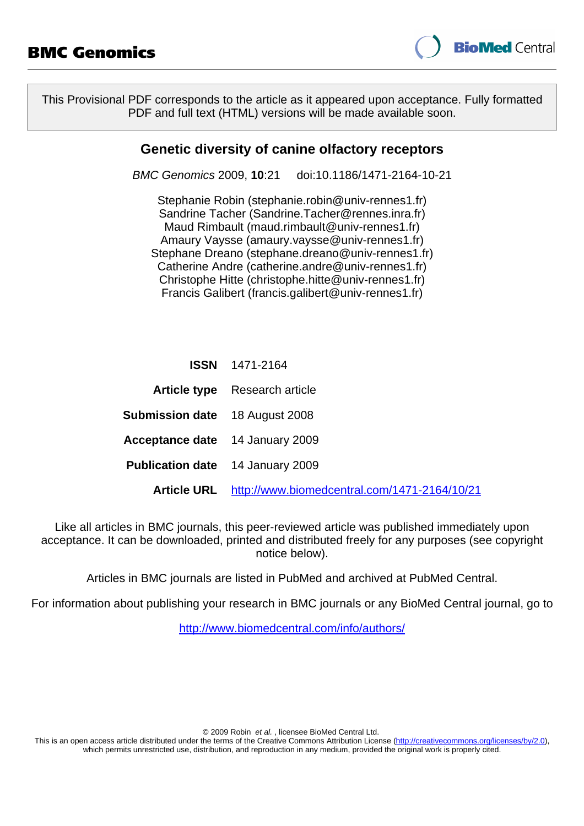

This Provisional PDF corresponds to the article as it appeared upon acceptance. Fully formatted PDF and full text (HTML) versions will be made available soon.

# **Genetic diversity of canine olfactory receptors**

BMC Genomics 2009, **10**:21 doi:10.1186/1471-2164-10-21

Stephanie Robin ([stephanie.robin@univ-rennes1.fr\)](mailto:stephanie.robin@univ-rennes1.fr) Sandrine Tacher ([Sandrine.Tacher@rennes.inra.fr](mailto:Sandrine.Tacher@rennes.inra.fr)) Maud Rimbault ([maud.rimbault@univ-rennes1.fr\)](mailto:maud.rimbault@univ-rennes1.fr) Amaury Vaysse ([amaury.vaysse@univ-rennes1.fr\)](mailto:amaury.vaysse@univ-rennes1.fr) Stephane Dreano [\(stephane.dreano@univ-rennes1.fr](mailto:stephane.dreano@univ-rennes1.fr)) Catherine Andre [\(catherine.andre@univ-rennes1.fr\)](mailto:catherine.andre@univ-rennes1.fr) Christophe Hitte ([christophe.hitte@univ-rennes1.fr](mailto:christophe.hitte@univ-rennes1.fr)) Francis Galibert ([francis.galibert@univ-rennes1.fr\)](mailto:francis.galibert@univ-rennes1.fr)

|                                         | <b>ISSN</b> 1471-2164                                    |
|-----------------------------------------|----------------------------------------------------------|
|                                         | <b>Article type</b> Research article                     |
| <b>Submission date</b> 18 August 2008   |                                                          |
| <b>Acceptance date</b> 14 January 2009  |                                                          |
| <b>Publication date</b> 14 January 2009 |                                                          |
|                                         | Article URL http://www.biomedcentral.com/1471-2164/10/21 |

Like all articles in BMC journals, this peer-reviewed article was published immediately upon acceptance. It can be downloaded, printed and distributed freely for any purposes (see copyright notice below).

Articles in BMC journals are listed in PubMed and archived at PubMed Central.

For information about publishing your research in BMC journals or any BioMed Central journal, go to

<http://www.biomedcentral.com/info/authors/>

© 2009 Robin et al. , licensee BioMed Central Ltd.

This is an open access article distributed under the terms of the Creative Commons Attribution License [\(http://creativecommons.org/licenses/by/2.0](http://creativecommons.org/licenses/by/2.0)), which permits unrestricted use, distribution, and reproduction in any medium, provided the original work is properly cited.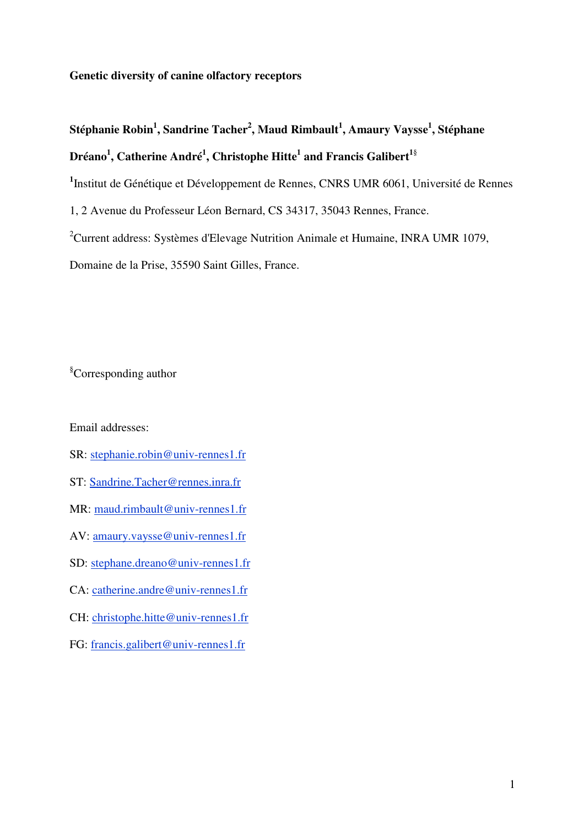# **Genetic diversity of canine olfactory receptors**

# **Stéphanie Robin<sup>1</sup> , Sandrine Tacher<sup>2</sup> , Maud Rimbault<sup>1</sup> , Amaury Vaysse<sup>1</sup> , Stéphane Dréano<sup>1</sup> , Catherine André<sup>1</sup> , Christophe Hitte<sup>1</sup> and Francis Galibert<sup>1</sup>**§

<sup>1</sup>Institut de Génétique et Développement de Rennes, CNRS UMR 6061, Université de Rennes

1, 2 Avenue du Professeur Léon Bernard, CS 34317, 35043 Rennes, France.

<sup>2</sup>Current address: Systèmes d'Elevage Nutrition Animale et Humaine, INRA UMR 1079,

Domaine de la Prise, 35590 Saint Gilles, France.

§Corresponding author

Email addresses:

- SR: stephanie.robin@univ-rennes1.fr
- ST: Sandrine.Tacher@rennes.inra.fr
- MR: maud.rimbault@univ-rennes1.fr
- AV: amaury.vaysse@univ-rennes1.fr
- SD: stephane.dreano@univ-rennes1.fr
- CA: catherine.andre@univ-rennes1.fr
- CH: christophe.hitte@univ-rennes1.fr
- FG: francis.galibert@univ-rennes1.fr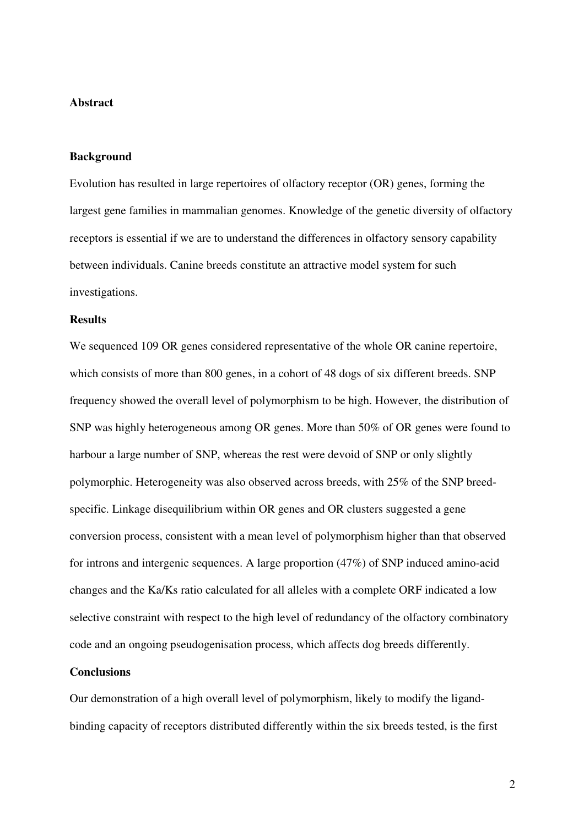# **Abstract**

#### **Background**

Evolution has resulted in large repertoires of olfactory receptor (OR) genes, forming the largest gene families in mammalian genomes. Knowledge of the genetic diversity of olfactory receptors is essential if we are to understand the differences in olfactory sensory capability between individuals. Canine breeds constitute an attractive model system for such investigations.

#### **Results**

We sequenced 109 OR genes considered representative of the whole OR canine repertoire, which consists of more than 800 genes, in a cohort of 48 dogs of six different breeds. SNP frequency showed the overall level of polymorphism to be high. However, the distribution of SNP was highly heterogeneous among OR genes. More than 50% of OR genes were found to harbour a large number of SNP, whereas the rest were devoid of SNP or only slightly polymorphic. Heterogeneity was also observed across breeds, with 25% of the SNP breedspecific. Linkage disequilibrium within OR genes and OR clusters suggested a gene conversion process, consistent with a mean level of polymorphism higher than that observed for introns and intergenic sequences. A large proportion (47%) of SNP induced amino-acid changes and the Ka/Ks ratio calculated for all alleles with a complete ORF indicated a low selective constraint with respect to the high level of redundancy of the olfactory combinatory code and an ongoing pseudogenisation process, which affects dog breeds differently.

#### **Conclusions**

Our demonstration of a high overall level of polymorphism, likely to modify the ligandbinding capacity of receptors distributed differently within the six breeds tested, is the first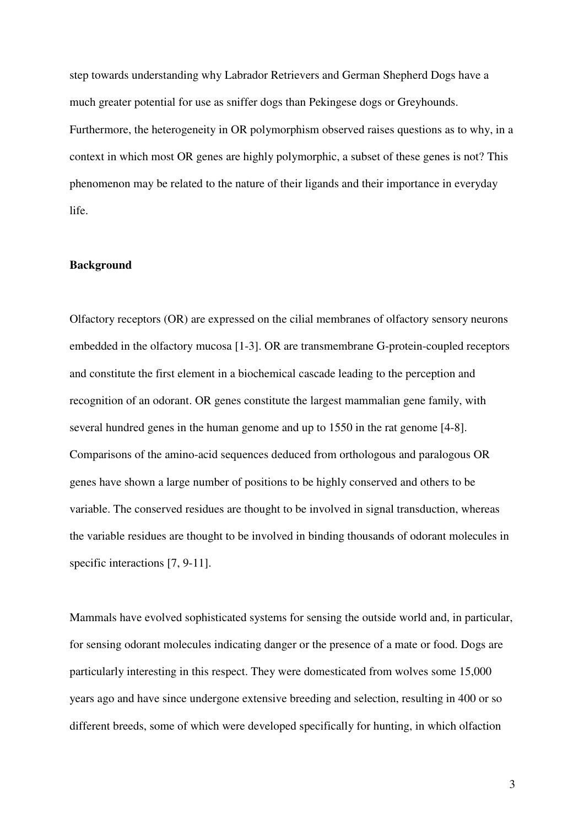step towards understanding why Labrador Retrievers and German Shepherd Dogs have a much greater potential for use as sniffer dogs than Pekingese dogs or Greyhounds. Furthermore, the heterogeneity in OR polymorphism observed raises questions as to why, in a context in which most OR genes are highly polymorphic, a subset of these genes is not? This phenomenon may be related to the nature of their ligands and their importance in everyday life.

#### **Background**

Olfactory receptors (OR) are expressed on the cilial membranes of olfactory sensory neurons embedded in the olfactory mucosa [1-3]. OR are transmembrane G-protein-coupled receptors and constitute the first element in a biochemical cascade leading to the perception and recognition of an odorant. OR genes constitute the largest mammalian gene family, with several hundred genes in the human genome and up to 1550 in the rat genome [4-8]. Comparisons of the amino-acid sequences deduced from orthologous and paralogous OR genes have shown a large number of positions to be highly conserved and others to be variable. The conserved residues are thought to be involved in signal transduction, whereas the variable residues are thought to be involved in binding thousands of odorant molecules in specific interactions [7, 9-11].

Mammals have evolved sophisticated systems for sensing the outside world and, in particular, for sensing odorant molecules indicating danger or the presence of a mate or food. Dogs are particularly interesting in this respect. They were domesticated from wolves some 15,000 years ago and have since undergone extensive breeding and selection, resulting in 400 or so different breeds, some of which were developed specifically for hunting, in which olfaction

3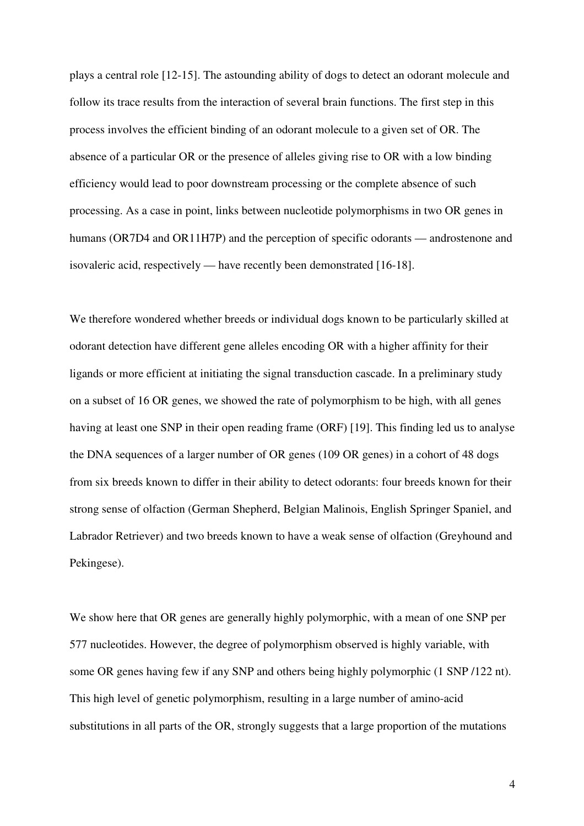plays a central role [12-15]. The astounding ability of dogs to detect an odorant molecule and follow its trace results from the interaction of several brain functions. The first step in this process involves the efficient binding of an odorant molecule to a given set of OR. The absence of a particular OR or the presence of alleles giving rise to OR with a low binding efficiency would lead to poor downstream processing or the complete absence of such processing. As a case in point, links between nucleotide polymorphisms in two OR genes in humans (OR7D4 and OR11H7P) and the perception of specific odorants — androstenone and isovaleric acid, respectively — have recently been demonstrated [16-18].

We therefore wondered whether breeds or individual dogs known to be particularly skilled at odorant detection have different gene alleles encoding OR with a higher affinity for their ligands or more efficient at initiating the signal transduction cascade. In a preliminary study on a subset of 16 OR genes, we showed the rate of polymorphism to be high, with all genes having at least one SNP in their open reading frame (ORF) [19]. This finding led us to analyse the DNA sequences of a larger number of OR genes (109 OR genes) in a cohort of 48 dogs from six breeds known to differ in their ability to detect odorants: four breeds known for their strong sense of olfaction (German Shepherd, Belgian Malinois, English Springer Spaniel, and Labrador Retriever) and two breeds known to have a weak sense of olfaction (Greyhound and Pekingese).

We show here that OR genes are generally highly polymorphic, with a mean of one SNP per 577 nucleotides. However, the degree of polymorphism observed is highly variable, with some OR genes having few if any SNP and others being highly polymorphic (1 SNP /122 nt). This high level of genetic polymorphism, resulting in a large number of amino-acid substitutions in all parts of the OR, strongly suggests that a large proportion of the mutations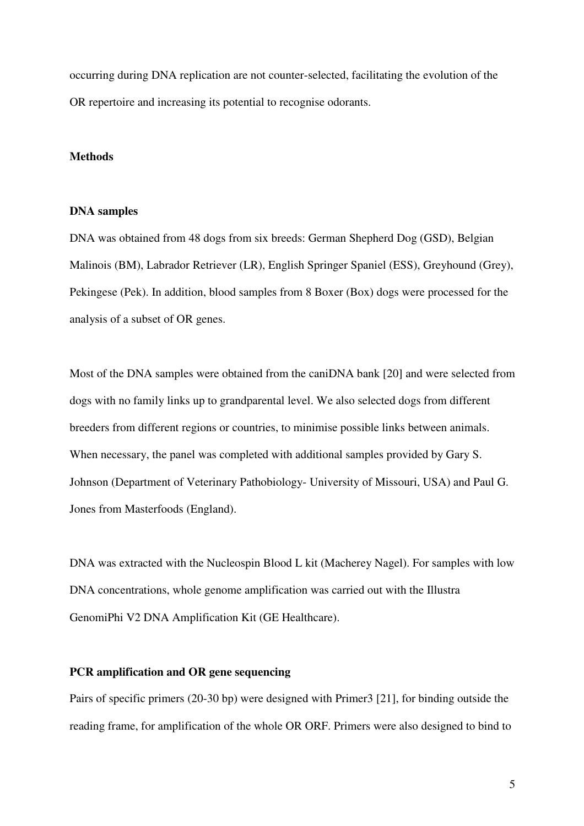occurring during DNA replication are not counter-selected, facilitating the evolution of the OR repertoire and increasing its potential to recognise odorants.

# **Methods**

#### **DNA samples**

DNA was obtained from 48 dogs from six breeds: German Shepherd Dog (GSD), Belgian Malinois (BM), Labrador Retriever (LR), English Springer Spaniel (ESS), Greyhound (Grey), Pekingese (Pek). In addition, blood samples from 8 Boxer (Box) dogs were processed for the analysis of a subset of OR genes.

Most of the DNA samples were obtained from the caniDNA bank [20] and were selected from dogs with no family links up to grandparental level. We also selected dogs from different breeders from different regions or countries, to minimise possible links between animals. When necessary, the panel was completed with additional samples provided by Gary S. Johnson (Department of Veterinary Pathobiology- University of Missouri, USA) and Paul G. Jones from Masterfoods (England).

DNA was extracted with the Nucleospin Blood L kit (Macherey Nagel). For samples with low DNA concentrations, whole genome amplification was carried out with the Illustra GenomiPhi V2 DNA Amplification Kit (GE Healthcare).

## **PCR amplification and OR gene sequencing**

Pairs of specific primers (20-30 bp) were designed with Primer3 [21], for binding outside the reading frame, for amplification of the whole OR ORF. Primers were also designed to bind to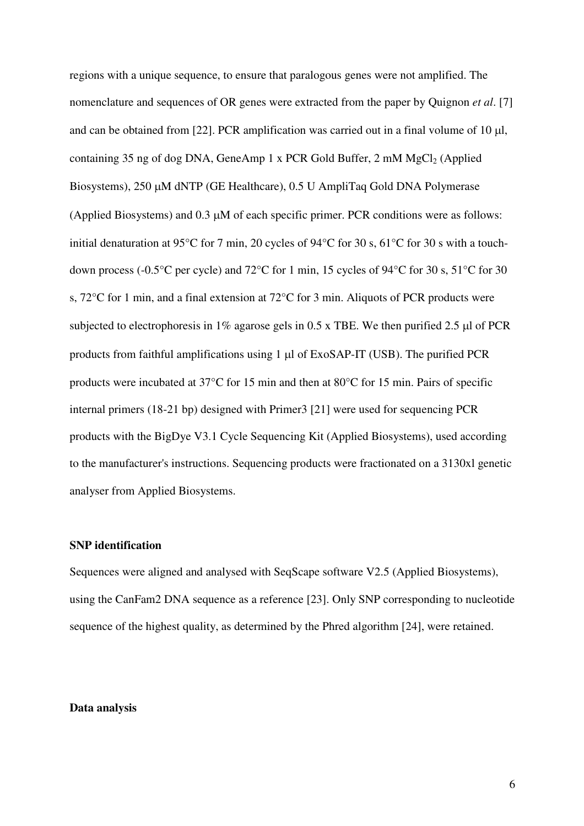regions with a unique sequence, to ensure that paralogous genes were not amplified. The nomenclature and sequences of OR genes were extracted from the paper by Quignon *et al*. [7] and can be obtained from [22]. PCR amplification was carried out in a final volume of 10  $\mu$ l, containing 35 ng of dog DNA, GeneAmp  $1 \times PCR$  Gold Buffer,  $2 \text{ mM } MgCl_2$  (Applied Biosystems), 250 uM dNTP (GE Healthcare), 0.5 U AmpliTaq Gold DNA Polymerase (Applied Biosystems) and  $0.3 \mu M$  of each specific primer. PCR conditions were as follows: initial denaturation at 95°C for 7 min, 20 cycles of 94°C for 30 s, 61°C for 30 s with a touchdown process (-0.5°C per cycle) and 72°C for 1 min, 15 cycles of 94°C for 30 s, 51°C for 30 s, 72°C for 1 min, and a final extension at 72°C for 3 min. Aliquots of PCR products were subjected to electrophoresis in  $1\%$  agarose gels in 0.5 x TBE. We then purified 2.5 µ of PCR products from faithful amplifications using  $1 \mu$ l of ExoSAP-IT (USB). The purified PCR products were incubated at 37°C for 15 min and then at 80°C for 15 min. Pairs of specific internal primers (18-21 bp) designed with Primer3 [21] were used for sequencing PCR products with the BigDye V3.1 Cycle Sequencing Kit (Applied Biosystems), used according to the manufacturer's instructions. Sequencing products were fractionated on a 3130xl genetic analyser from Applied Biosystems.

## **SNP identification**

Sequences were aligned and analysed with SeqScape software V2.5 (Applied Biosystems), using the CanFam2 DNA sequence as a reference [23]. Only SNP corresponding to nucleotide sequence of the highest quality, as determined by the Phred algorithm [24], were retained.

## **Data analysis**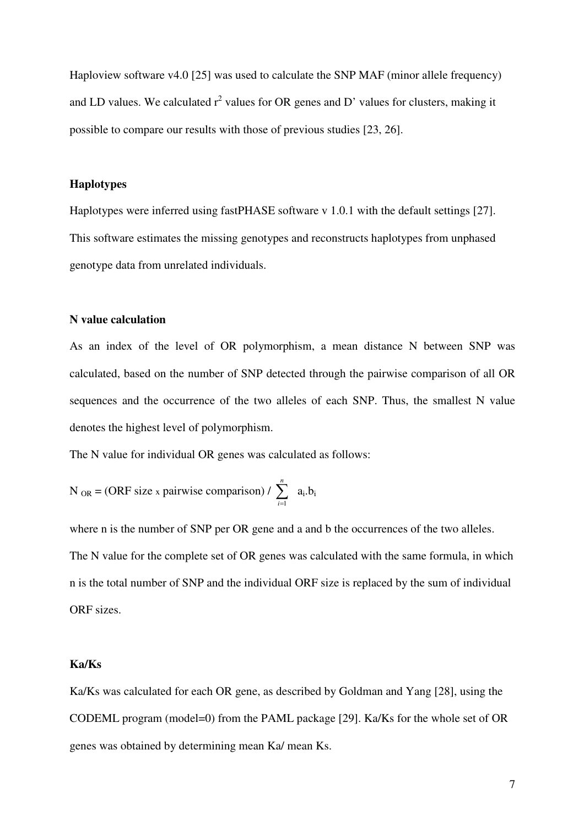Haploview software v4.0 [25] was used to calculate the SNP MAF (minor allele frequency) and LD values. We calculated  $r^2$  values for OR genes and D' values for clusters, making it possible to compare our results with those of previous studies [23, 26].

# **Haplotypes**

Haplotypes were inferred using fastPHASE software v 1.0.1 with the default settings [27]. This software estimates the missing genotypes and reconstructs haplotypes from unphased genotype data from unrelated individuals.

#### **N value calculation**

As an index of the level of OR polymorphism, a mean distance N between SNP was calculated, based on the number of SNP detected through the pairwise comparison of all OR sequences and the occurrence of the two alleles of each SNP. Thus, the smallest N value denotes the highest level of polymorphism.

The N value for individual OR genes was calculated as follows:

N <sub>OR</sub> = (ORF size x pairwise comparison) / 
$$
\sum_{i=1}^{n}
$$
 a<sub>i</sub>.b<sub>i</sub>

where n is the number of SNP per OR gene and a and b the occurrences of the two alleles. The N value for the complete set of OR genes was calculated with the same formula, in which n is the total number of SNP and the individual ORF size is replaced by the sum of individual ORF sizes.

# **Ka/Ks**

Ka/Ks was calculated for each OR gene, as described by Goldman and Yang [28], using the CODEML program (model=0) from the PAML package [29]. Ka/Ks for the whole set of OR genes was obtained by determining mean Ka/ mean Ks.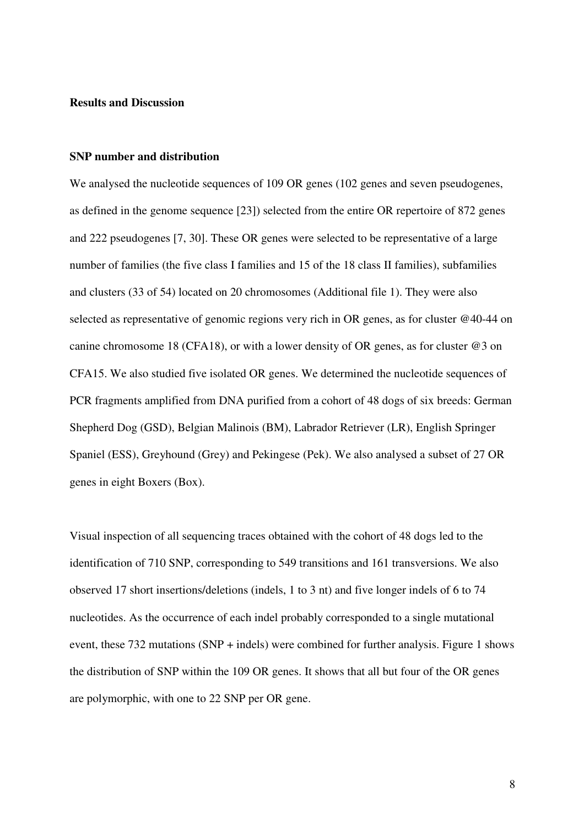## **Results and Discussion**

#### **SNP number and distribution**

We analysed the nucleotide sequences of 109 OR genes (102 genes and seven pseudogenes, as defined in the genome sequence [23]) selected from the entire OR repertoire of 872 genes and 222 pseudogenes [7, 30]. These OR genes were selected to be representative of a large number of families (the five class I families and 15 of the 18 class II families), subfamilies and clusters (33 of 54) located on 20 chromosomes (Additional file 1). They were also selected as representative of genomic regions very rich in OR genes, as for cluster @40-44 on canine chromosome 18 (CFA18), or with a lower density of OR genes, as for cluster @3 on CFA15. We also studied five isolated OR genes. We determined the nucleotide sequences of PCR fragments amplified from DNA purified from a cohort of 48 dogs of six breeds: German Shepherd Dog (GSD), Belgian Malinois (BM), Labrador Retriever (LR), English Springer Spaniel (ESS), Greyhound (Grey) and Pekingese (Pek). We also analysed a subset of 27 OR genes in eight Boxers (Box).

Visual inspection of all sequencing traces obtained with the cohort of 48 dogs led to the identification of 710 SNP, corresponding to 549 transitions and 161 transversions. We also observed 17 short insertions/deletions (indels, 1 to 3 nt) and five longer indels of 6 to 74 nucleotides. As the occurrence of each indel probably corresponded to a single mutational event, these 732 mutations (SNP + indels) were combined for further analysis. Figure 1 shows the distribution of SNP within the 109 OR genes. It shows that all but four of the OR genes are polymorphic, with one to 22 SNP per OR gene.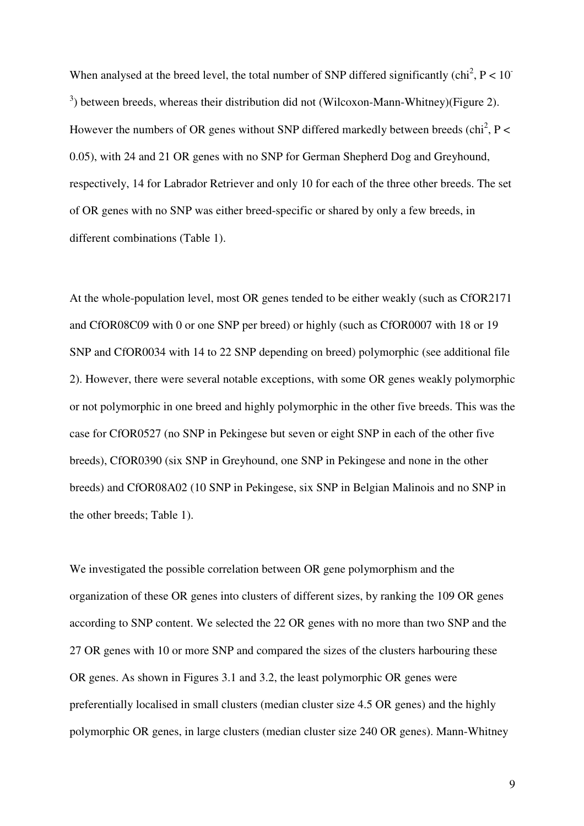When analysed at the breed level, the total number of SNP differed significantly (chi<sup>2</sup>,  $P < 10^{-1}$ )  $3$ ) between breeds, whereas their distribution did not (Wilcoxon-Mann-Whitney)(Figure 2). However the numbers of OR genes without SNP differed markedly between breeds  $\left(\text{chi}^2, P \right)$ 0.05), with 24 and 21 OR genes with no SNP for German Shepherd Dog and Greyhound, respectively, 14 for Labrador Retriever and only 10 for each of the three other breeds. The set of OR genes with no SNP was either breed-specific or shared by only a few breeds, in different combinations (Table 1).

At the whole-population level, most OR genes tended to be either weakly (such as CfOR2171 and CfOR08C09 with 0 or one SNP per breed) or highly (such as CfOR0007 with 18 or 19 SNP and CfOR0034 with 14 to 22 SNP depending on breed) polymorphic (see additional file 2). However, there were several notable exceptions, with some OR genes weakly polymorphic or not polymorphic in one breed and highly polymorphic in the other five breeds. This was the case for CfOR0527 (no SNP in Pekingese but seven or eight SNP in each of the other five breeds), CfOR0390 (six SNP in Greyhound, one SNP in Pekingese and none in the other breeds) and CfOR08A02 (10 SNP in Pekingese, six SNP in Belgian Malinois and no SNP in the other breeds; Table 1).

We investigated the possible correlation between OR gene polymorphism and the organization of these OR genes into clusters of different sizes, by ranking the 109 OR genes according to SNP content. We selected the 22 OR genes with no more than two SNP and the 27 OR genes with 10 or more SNP and compared the sizes of the clusters harbouring these OR genes. As shown in Figures 3.1 and 3.2, the least polymorphic OR genes were preferentially localised in small clusters (median cluster size 4.5 OR genes) and the highly polymorphic OR genes, in large clusters (median cluster size 240 OR genes). Mann-Whitney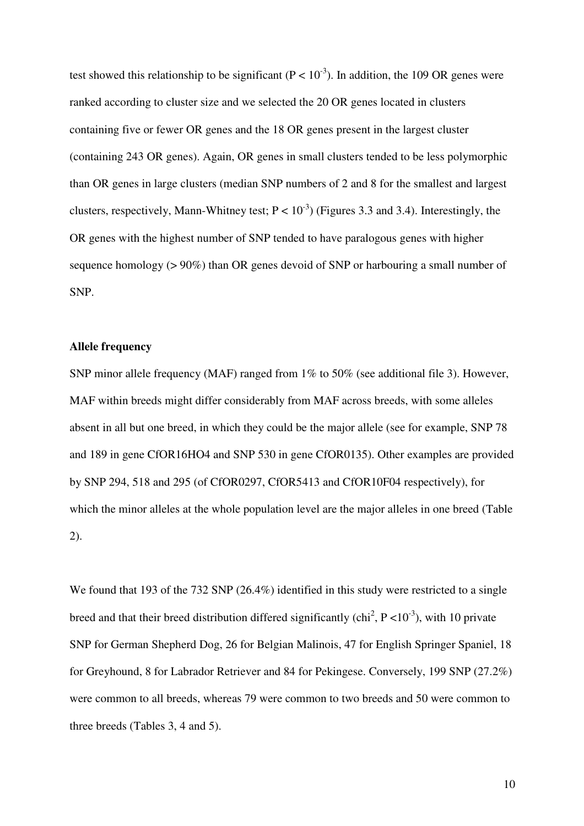test showed this relationship to be significant ( $P < 10^{-3}$ ). In addition, the 109 OR genes were ranked according to cluster size and we selected the 20 OR genes located in clusters containing five or fewer OR genes and the 18 OR genes present in the largest cluster (containing 243 OR genes). Again, OR genes in small clusters tended to be less polymorphic than OR genes in large clusters (median SNP numbers of 2 and 8 for the smallest and largest clusters, respectively, Mann-Whitney test;  $P < 10^{-3}$ ) (Figures 3.3 and 3.4). Interestingly, the OR genes with the highest number of SNP tended to have paralogous genes with higher sequence homology (> 90%) than OR genes devoid of SNP or harbouring a small number of SNP.

## **Allele frequency**

SNP minor allele frequency (MAF) ranged from 1% to 50% (see additional file 3). However, MAF within breeds might differ considerably from MAF across breeds, with some alleles absent in all but one breed, in which they could be the major allele (see for example, SNP 78 and 189 in gene CfOR16HO4 and SNP 530 in gene CfOR0135). Other examples are provided by SNP 294, 518 and 295 (of CfOR0297, CfOR5413 and CfOR10F04 respectively), for which the minor alleles at the whole population level are the major alleles in one breed (Table 2).

We found that 193 of the 732 SNP (26.4%) identified in this study were restricted to a single breed and that their breed distribution differed significantly (chi<sup>2</sup>,  $P < 10^{-3}$ ), with 10 private SNP for German Shepherd Dog, 26 for Belgian Malinois, 47 for English Springer Spaniel, 18 for Greyhound, 8 for Labrador Retriever and 84 for Pekingese. Conversely, 199 SNP (27.2%) were common to all breeds, whereas 79 were common to two breeds and 50 were common to three breeds (Tables 3, 4 and 5).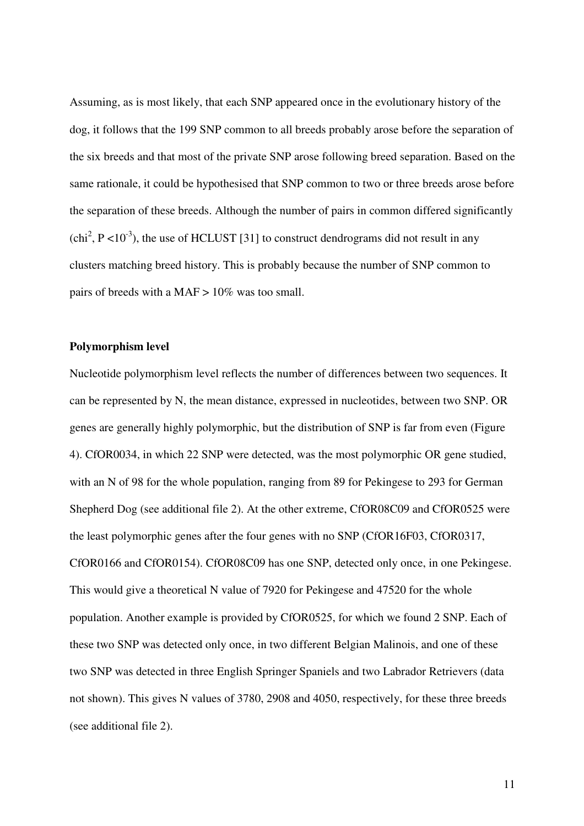Assuming, as is most likely, that each SNP appeared once in the evolutionary history of the dog, it follows that the 199 SNP common to all breeds probably arose before the separation of the six breeds and that most of the private SNP arose following breed separation. Based on the same rationale, it could be hypothesised that SNP common to two or three breeds arose before the separation of these breeds. Although the number of pairs in common differed significantly  $\text{(chi}^2, \text{P} < 10^{-3})$ , the use of HCLUST [31] to construct dendrograms did not result in any clusters matching breed history. This is probably because the number of SNP common to pairs of breeds with a MAF > 10% was too small.

### **Polymorphism level**

Nucleotide polymorphism level reflects the number of differences between two sequences. It can be represented by N, the mean distance, expressed in nucleotides, between two SNP. OR genes are generally highly polymorphic, but the distribution of SNP is far from even (Figure 4). CfOR0034, in which 22 SNP were detected, was the most polymorphic OR gene studied, with an N of 98 for the whole population, ranging from 89 for Pekingese to 293 for German Shepherd Dog (see additional file 2). At the other extreme, CfOR08C09 and CfOR0525 were the least polymorphic genes after the four genes with no SNP (CfOR16F03, CfOR0317, CfOR0166 and CfOR0154). CfOR08C09 has one SNP, detected only once, in one Pekingese. This would give a theoretical N value of 7920 for Pekingese and 47520 for the whole population. Another example is provided by CfOR0525, for which we found 2 SNP. Each of these two SNP was detected only once, in two different Belgian Malinois, and one of these two SNP was detected in three English Springer Spaniels and two Labrador Retrievers (data not shown). This gives N values of 3780, 2908 and 4050, respectively, for these three breeds (see additional file 2).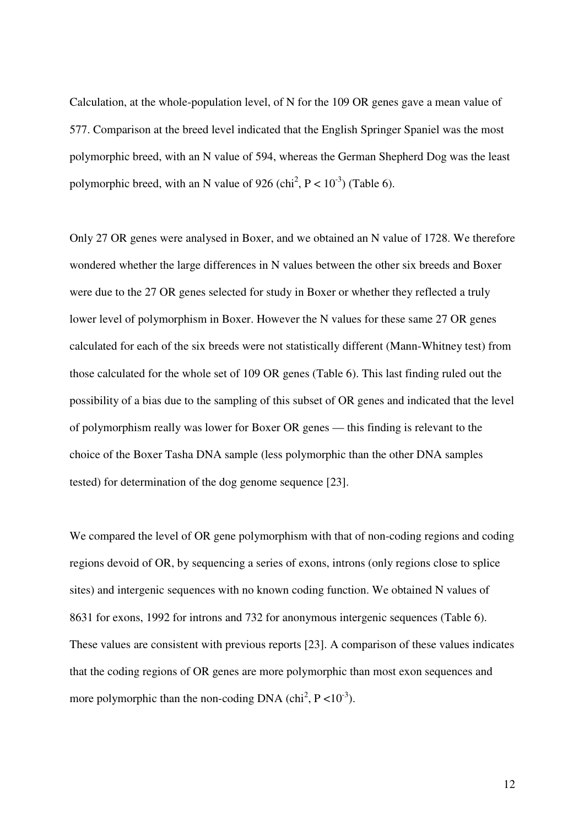Calculation, at the whole-population level, of N for the 109 OR genes gave a mean value of 577. Comparison at the breed level indicated that the English Springer Spaniel was the most polymorphic breed, with an N value of 594, whereas the German Shepherd Dog was the least polymorphic breed, with an N value of 926 (chi<sup>2</sup>,  $P < 10^{-3}$ ) (Table 6).

Only 27 OR genes were analysed in Boxer, and we obtained an N value of 1728. We therefore wondered whether the large differences in N values between the other six breeds and Boxer were due to the 27 OR genes selected for study in Boxer or whether they reflected a truly lower level of polymorphism in Boxer. However the N values for these same 27 OR genes calculated for each of the six breeds were not statistically different (Mann-Whitney test) from those calculated for the whole set of 109 OR genes (Table 6). This last finding ruled out the possibility of a bias due to the sampling of this subset of OR genes and indicated that the level of polymorphism really was lower for Boxer OR genes — this finding is relevant to the choice of the Boxer Tasha DNA sample (less polymorphic than the other DNA samples tested) for determination of the dog genome sequence [23].

We compared the level of OR gene polymorphism with that of non-coding regions and coding regions devoid of OR, by sequencing a series of exons, introns (only regions close to splice sites) and intergenic sequences with no known coding function. We obtained N values of 8631 for exons, 1992 for introns and 732 for anonymous intergenic sequences (Table 6). These values are consistent with previous reports [23]. A comparison of these values indicates that the coding regions of OR genes are more polymorphic than most exon sequences and more polymorphic than the non-coding DNA (chi<sup>2</sup>,  $P < 10^{-3}$ ).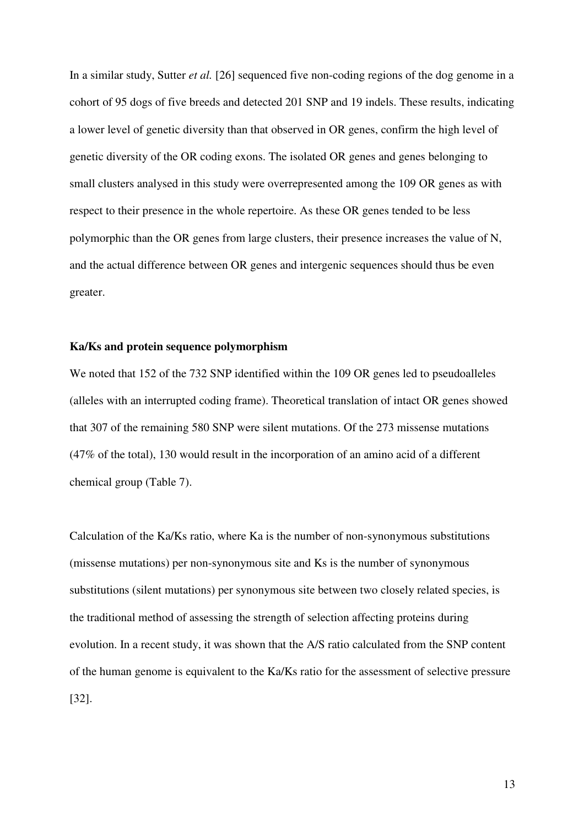In a similar study, Sutter *et al.* [26] sequenced five non-coding regions of the dog genome in a cohort of 95 dogs of five breeds and detected 201 SNP and 19 indels. These results, indicating a lower level of genetic diversity than that observed in OR genes, confirm the high level of genetic diversity of the OR coding exons. The isolated OR genes and genes belonging to small clusters analysed in this study were overrepresented among the 109 OR genes as with respect to their presence in the whole repertoire. As these OR genes tended to be less polymorphic than the OR genes from large clusters, their presence increases the value of N, and the actual difference between OR genes and intergenic sequences should thus be even greater.

## **Ka/Ks and protein sequence polymorphism**

We noted that 152 of the 732 SNP identified within the 109 OR genes led to pseudoalleles (alleles with an interrupted coding frame). Theoretical translation of intact OR genes showed that 307 of the remaining 580 SNP were silent mutations. Of the 273 missense mutations (47% of the total), 130 would result in the incorporation of an amino acid of a different chemical group (Table 7).

Calculation of the Ka/Ks ratio, where Ka is the number of non-synonymous substitutions (missense mutations) per non-synonymous site and Ks is the number of synonymous substitutions (silent mutations) per synonymous site between two closely related species, is the traditional method of assessing the strength of selection affecting proteins during evolution. In a recent study, it was shown that the A/S ratio calculated from the SNP content of the human genome is equivalent to the Ka/Ks ratio for the assessment of selective pressure [32].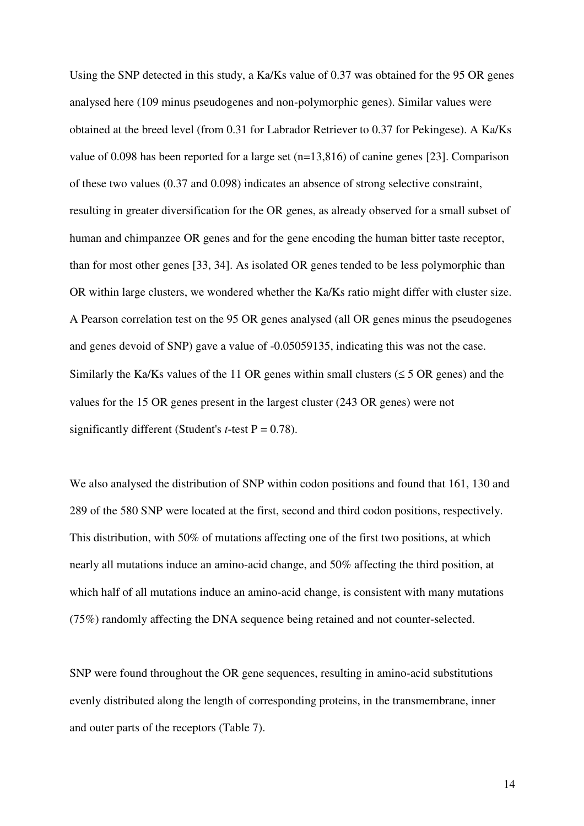Using the SNP detected in this study, a Ka/Ks value of 0.37 was obtained for the 95 OR genes analysed here (109 minus pseudogenes and non-polymorphic genes). Similar values were obtained at the breed level (from 0.31 for Labrador Retriever to 0.37 for Pekingese). A Ka/Ks value of 0.098 has been reported for a large set  $(n=13,816)$  of canine genes [23]. Comparison of these two values (0.37 and 0.098) indicates an absence of strong selective constraint, resulting in greater diversification for the OR genes, as already observed for a small subset of human and chimpanzee OR genes and for the gene encoding the human bitter taste receptor, than for most other genes [33, 34]. As isolated OR genes tended to be less polymorphic than OR within large clusters, we wondered whether the Ka/Ks ratio might differ with cluster size. A Pearson correlation test on the 95 OR genes analysed (all OR genes minus the pseudogenes and genes devoid of SNP) gave a value of -0.05059135, indicating this was not the case. Similarly the Ka/Ks values of the 11 OR genes within small clusters ( $\leq$  5 OR genes) and the values for the 15 OR genes present in the largest cluster (243 OR genes) were not significantly different (Student's *t*-test  $P = 0.78$ ).

We also analysed the distribution of SNP within codon positions and found that 161, 130 and 289 of the 580 SNP were located at the first, second and third codon positions, respectively. This distribution, with 50% of mutations affecting one of the first two positions, at which nearly all mutations induce an amino-acid change, and 50% affecting the third position, at which half of all mutations induce an amino-acid change, is consistent with many mutations (75%) randomly affecting the DNA sequence being retained and not counter-selected.

SNP were found throughout the OR gene sequences, resulting in amino-acid substitutions evenly distributed along the length of corresponding proteins, in the transmembrane, inner and outer parts of the receptors (Table 7).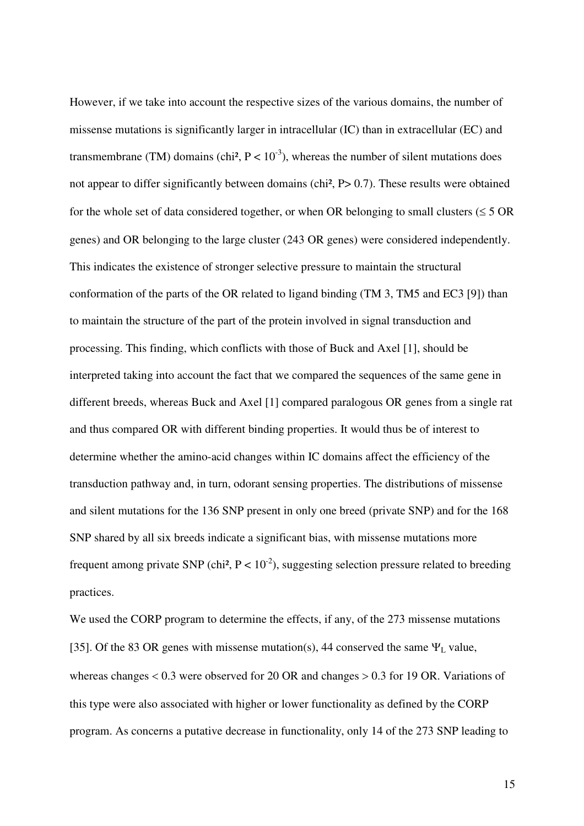However, if we take into account the respective sizes of the various domains, the number of missense mutations is significantly larger in intracellular (IC) than in extracellular (EC) and transmembrane (TM) domains (chi<sup>2</sup>,  $P < 10^{-3}$ ), whereas the number of silent mutations does not appear to differ significantly between domains (chi<sup>2</sup>, P independently). These results were obtained for the whole set of data considered together, or when OR belonging to small clusters ( $\leq$  5 OR genes) and OR belonging to the large cluster (243 OR genes) were considered independently. This indicates the existence of stronger selective pressure to maintain the structural conformation of the parts of the OR related to ligand binding (TM 3, TM5 and EC3 [9]) than to maintain the structure of the part of the protein involved in signal transduction and processing. This finding, which conflicts with those of Buck and Axel [1], should be interpreted taking into account the fact that we compared the sequences of the same gene in different breeds, whereas Buck and Axel [1] compared paralogous OR genes from a single rat and thus compared OR with different binding properties. It would thus be of interest to determine whether the amino-acid changes within IC domains affect the efficiency of the transduction pathway and, in turn, odorant sensing properties. The distributions of missense and silent mutations for the 136 SNP present in only one breed (private SNP) and for the 168 SNP shared by all six breeds indicate a significant bias, with missense mutations more frequent among private SNP (chi<sup>2</sup>,  $P < 10^{-2}$ ), suggesting selection pressure related to breeding practices.

We used the CORP program to determine the effects, if any, of the 273 missense mutations [35]. Of the 83 OR genes with missense mutation(s), 44 conserved the same  $\Psi_L$  value, whereas changes < 0.3 were observed for 20 OR and changes > 0.3 for 19 OR. Variations of this type were also associated with higher or lower functionality as defined by the CORP program. As concerns a putative decrease in functionality, only 14 of the 273 SNP leading to

15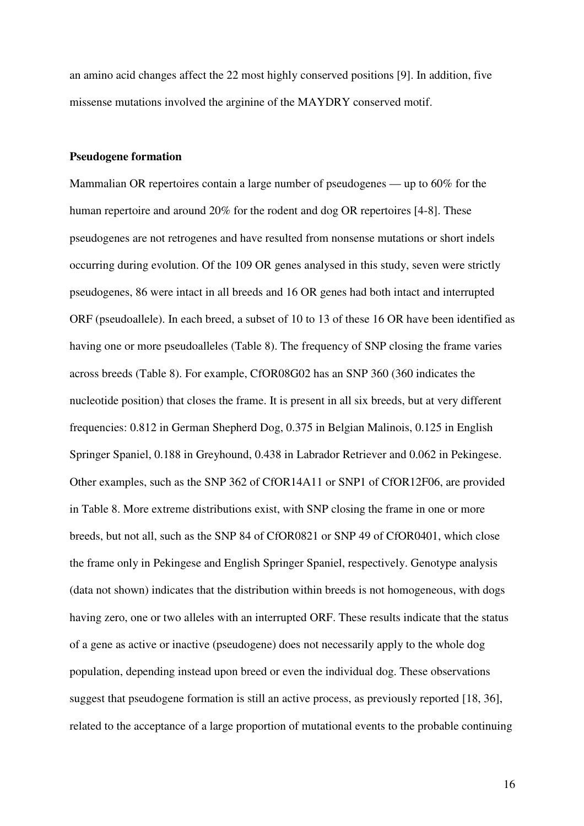an amino acid changes affect the 22 most highly conserved positions [9]. In addition, five missense mutations involved the arginine of the MAYDRY conserved motif.

#### **Pseudogene formation**

Mammalian OR repertoires contain a large number of pseudogenes — up to 60% for the human repertoire and around 20% for the rodent and dog OR repertoires [4-8]. These pseudogenes are not retrogenes and have resulted from nonsense mutations or short indels occurring during evolution. Of the 109 OR genes analysed in this study, seven were strictly pseudogenes, 86 were intact in all breeds and 16 OR genes had both intact and interrupted ORF (pseudoallele). In each breed, a subset of 10 to 13 of these 16 OR have been identified as having one or more pseudoalleles (Table 8). The frequency of SNP closing the frame varies across breeds (Table 8). For example, CfOR08G02 has an SNP 360 (360 indicates the nucleotide position) that closes the frame. It is present in all six breeds, but at very different frequencies: 0.812 in German Shepherd Dog, 0.375 in Belgian Malinois, 0.125 in English Springer Spaniel, 0.188 in Greyhound, 0.438 in Labrador Retriever and 0.062 in Pekingese. Other examples, such as the SNP 362 of CfOR14A11 or SNP1 of CfOR12F06, are provided in Table 8. More extreme distributions exist, with SNP closing the frame in one or more breeds, but not all, such as the SNP 84 of CfOR0821 or SNP 49 of CfOR0401, which close the frame only in Pekingese and English Springer Spaniel, respectively. Genotype analysis (data not shown) indicates that the distribution within breeds is not homogeneous, with dogs having zero, one or two alleles with an interrupted ORF. These results indicate that the status of a gene as active or inactive (pseudogene) does not necessarily apply to the whole dog population, depending instead upon breed or even the individual dog. These observations suggest that pseudogene formation is still an active process, as previously reported [18, 36], related to the acceptance of a large proportion of mutational events to the probable continuing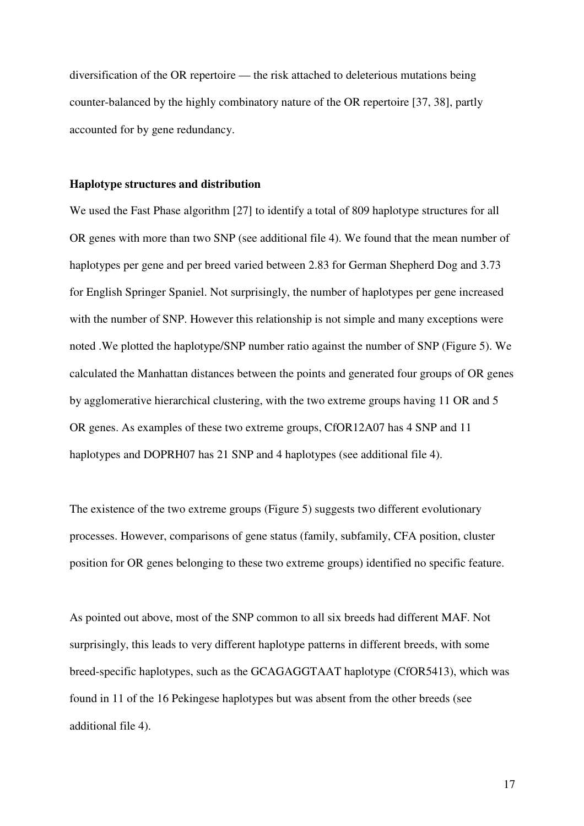diversification of the OR repertoire — the risk attached to deleterious mutations being counter-balanced by the highly combinatory nature of the OR repertoire [37, 38], partly accounted for by gene redundancy.

#### **Haplotype structures and distribution**

We used the Fast Phase algorithm [27] to identify a total of 809 haplotype structures for all OR genes with more than two SNP (see additional file 4). We found that the mean number of haplotypes per gene and per breed varied between 2.83 for German Shepherd Dog and 3.73 for English Springer Spaniel. Not surprisingly, the number of haplotypes per gene increased with the number of SNP. However this relationship is not simple and many exceptions were noted .We plotted the haplotype/SNP number ratio against the number of SNP (Figure 5). We calculated the Manhattan distances between the points and generated four groups of OR genes by agglomerative hierarchical clustering, with the two extreme groups having 11 OR and 5 OR genes. As examples of these two extreme groups, CfOR12A07 has 4 SNP and 11 haplotypes and DOPRH07 has 21 SNP and 4 haplotypes (see additional file 4).

The existence of the two extreme groups (Figure 5) suggests two different evolutionary processes. However, comparisons of gene status (family, subfamily, CFA position, cluster position for OR genes belonging to these two extreme groups) identified no specific feature.

As pointed out above, most of the SNP common to all six breeds had different MAF. Not surprisingly, this leads to very different haplotype patterns in different breeds, with some breed-specific haplotypes, such as the GCAGAGGTAAT haplotype (CfOR5413), which was found in 11 of the 16 Pekingese haplotypes but was absent from the other breeds (see additional file 4).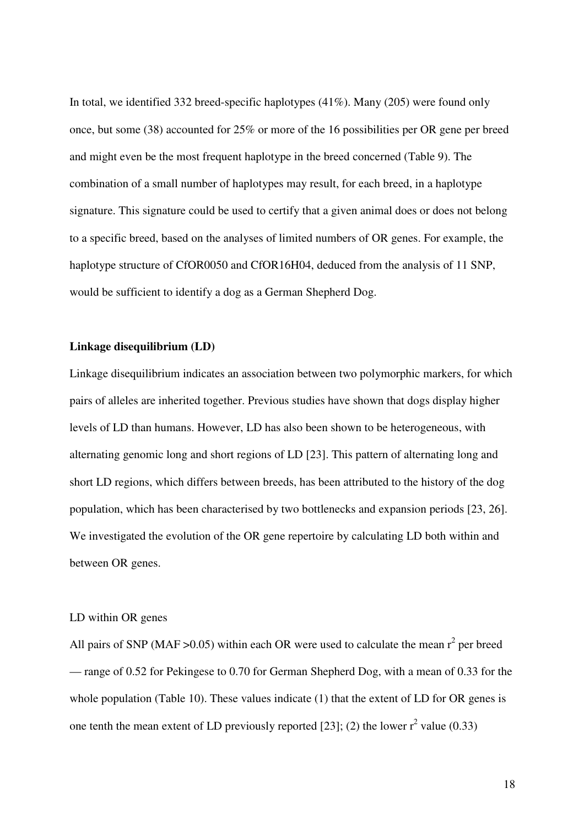In total, we identified 332 breed-specific haplotypes (41%). Many (205) were found only once, but some (38) accounted for 25% or more of the 16 possibilities per OR gene per breed and might even be the most frequent haplotype in the breed concerned (Table 9). The combination of a small number of haplotypes may result, for each breed, in a haplotype signature. This signature could be used to certify that a given animal does or does not belong to a specific breed, based on the analyses of limited numbers of OR genes. For example, the haplotype structure of CfOR0050 and CfOR16H04, deduced from the analysis of 11 SNP, would be sufficient to identify a dog as a German Shepherd Dog.

#### **Linkage disequilibrium (LD)**

Linkage disequilibrium indicates an association between two polymorphic markers, for which pairs of alleles are inherited together. Previous studies have shown that dogs display higher levels of LD than humans. However, LD has also been shown to be heterogeneous, with alternating genomic long and short regions of LD [23]. This pattern of alternating long and short LD regions, which differs between breeds, has been attributed to the history of the dog population, which has been characterised by two bottlenecks and expansion periods [23, 26]. We investigated the evolution of the OR gene repertoire by calculating LD both within and between OR genes.

#### LD within OR genes

All pairs of SNP (MAF > 0.05) within each OR were used to calculate the mean  $r^2$  per breed — range of 0.52 for Pekingese to 0.70 for German Shepherd Dog, with a mean of 0.33 for the whole population (Table 10). These values indicate (1) that the extent of LD for OR genes is one tenth the mean extent of LD previously reported [23]; (2) the lower  $r^2$  value (0.33)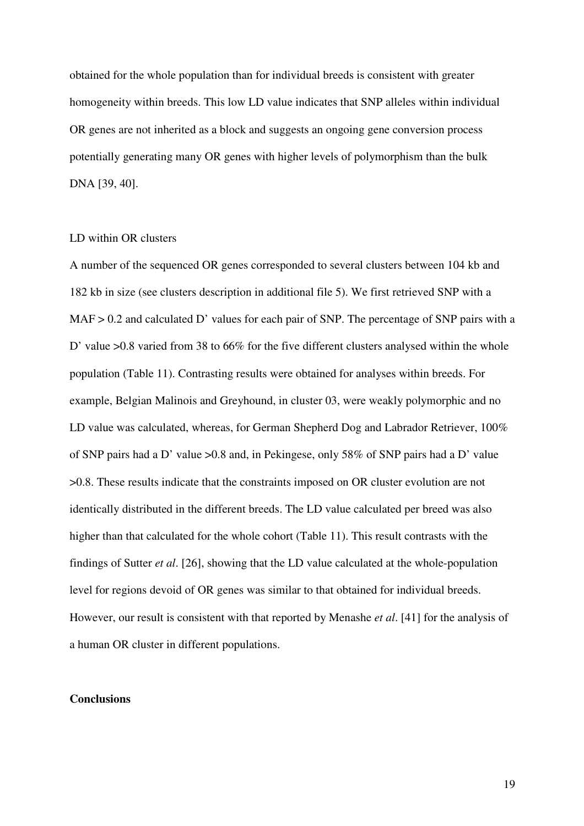obtained for the whole population than for individual breeds is consistent with greater homogeneity within breeds. This low LD value indicates that SNP alleles within individual OR genes are not inherited as a block and suggests an ongoing gene conversion process potentially generating many OR genes with higher levels of polymorphism than the bulk DNA [39, 40].

#### LD within OR clusters

A number of the sequenced OR genes corresponded to several clusters between 104 kb and 182 kb in size (see clusters description in additional file 5). We first retrieved SNP with a MAF > 0.2 and calculated D' values for each pair of SNP. The percentage of SNP pairs with a D' value >0.8 varied from 38 to 66% for the five different clusters analysed within the whole population (Table 11). Contrasting results were obtained for analyses within breeds. For example, Belgian Malinois and Greyhound, in cluster 03, were weakly polymorphic and no LD value was calculated, whereas, for German Shepherd Dog and Labrador Retriever, 100% of SNP pairs had a D' value >0.8 and, in Pekingese, only 58% of SNP pairs had a D' value >0.8. These results indicate that the constraints imposed on OR cluster evolution are not identically distributed in the different breeds. The LD value calculated per breed was also higher than that calculated for the whole cohort (Table 11). This result contrasts with the findings of Sutter *et al*. [26], showing that the LD value calculated at the whole-population level for regions devoid of OR genes was similar to that obtained for individual breeds. However, our result is consistent with that reported by Menashe *et al*. [41] for the analysis of a human OR cluster in different populations.

### **Conclusions**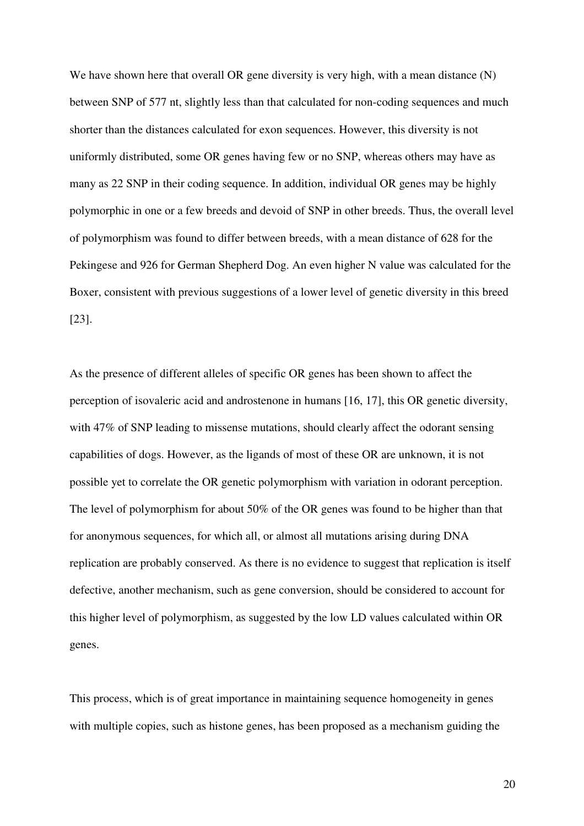We have shown here that overall OR gene diversity is very high, with a mean distance (N) between SNP of 577 nt, slightly less than that calculated for non-coding sequences and much shorter than the distances calculated for exon sequences. However, this diversity is not uniformly distributed, some OR genes having few or no SNP, whereas others may have as many as 22 SNP in their coding sequence. In addition, individual OR genes may be highly polymorphic in one or a few breeds and devoid of SNP in other breeds. Thus, the overall level of polymorphism was found to differ between breeds, with a mean distance of 628 for the Pekingese and 926 for German Shepherd Dog. An even higher N value was calculated for the Boxer, consistent with previous suggestions of a lower level of genetic diversity in this breed [23].

As the presence of different alleles of specific OR genes has been shown to affect the perception of isovaleric acid and androstenone in humans [16, 17], this OR genetic diversity, with 47% of SNP leading to missense mutations, should clearly affect the odorant sensing capabilities of dogs. However, as the ligands of most of these OR are unknown, it is not possible yet to correlate the OR genetic polymorphism with variation in odorant perception. The level of polymorphism for about 50% of the OR genes was found to be higher than that for anonymous sequences, for which all, or almost all mutations arising during DNA replication are probably conserved. As there is no evidence to suggest that replication is itself defective, another mechanism, such as gene conversion, should be considered to account for this higher level of polymorphism, as suggested by the low LD values calculated within OR genes.

This process, which is of great importance in maintaining sequence homogeneity in genes with multiple copies, such as histone genes, has been proposed as a mechanism guiding the

20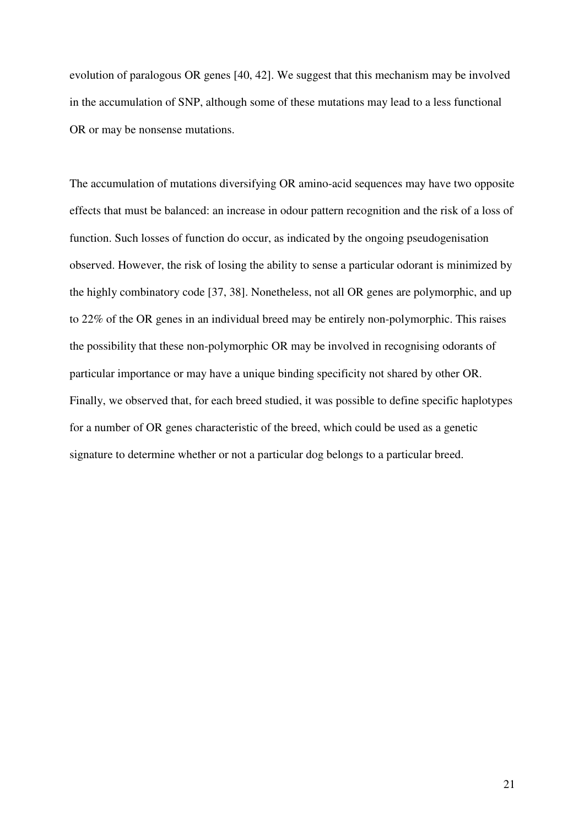evolution of paralogous OR genes [40, 42]. We suggest that this mechanism may be involved in the accumulation of SNP, although some of these mutations may lead to a less functional OR or may be nonsense mutations.

The accumulation of mutations diversifying OR amino-acid sequences may have two opposite effects that must be balanced: an increase in odour pattern recognition and the risk of a loss of function. Such losses of function do occur, as indicated by the ongoing pseudogenisation observed. However, the risk of losing the ability to sense a particular odorant is minimized by the highly combinatory code [37, 38]. Nonetheless, not all OR genes are polymorphic, and up to 22% of the OR genes in an individual breed may be entirely non-polymorphic. This raises the possibility that these non-polymorphic OR may be involved in recognising odorants of particular importance or may have a unique binding specificity not shared by other OR. Finally, we observed that, for each breed studied, it was possible to define specific haplotypes for a number of OR genes characteristic of the breed, which could be used as a genetic signature to determine whether or not a particular dog belongs to a particular breed.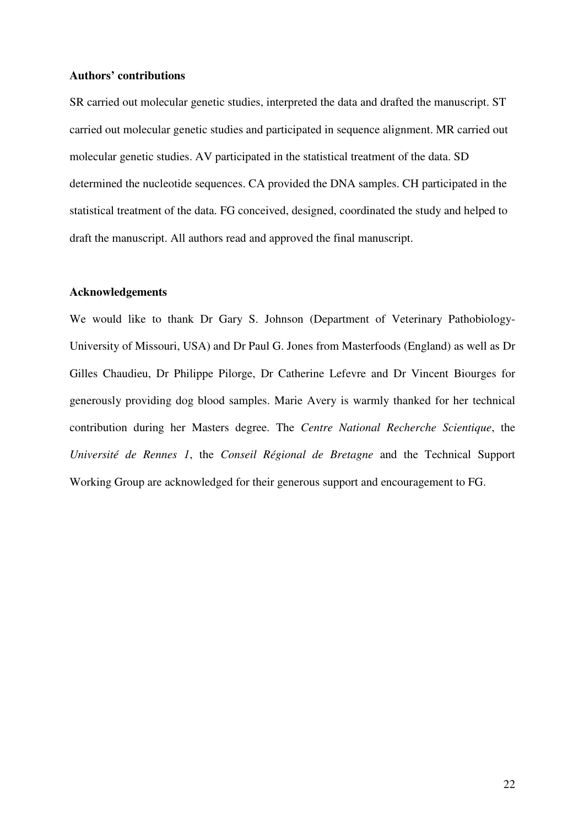## **Authors' contributions**

SR carried out molecular genetic studies, interpreted the data and drafted the manuscript. ST carried out molecular genetic studies and participated in sequence alignment. MR carried out molecular genetic studies. AV participated in the statistical treatment of the data. SD determined the nucleotide sequences. CA provided the DNA samples. CH participated in the statistical treatment of the data. FG conceived, designed, coordinated the study and helped to draft the manuscript. All authors read and approved the final manuscript.

# **Acknowledgements**

We would like to thank Dr Gary S. Johnson (Department of Veterinary Pathobiology-University of Missouri, USA) and Dr Paul G. Jones from Masterfoods (England) as well as Dr Gilles Chaudieu, Dr Philippe Pilorge, Dr Catherine Lefevre and Dr Vincent Biourges for generously providing dog blood samples. Marie Avery is warmly thanked for her technical contribution during her Masters degree. The *Centre National Recherche Scientique*, the *Université de Rennes 1*, the *Conseil Régional de Bretagne* and the Technical Support Working Group are acknowledged for their generous support and encouragement to FG.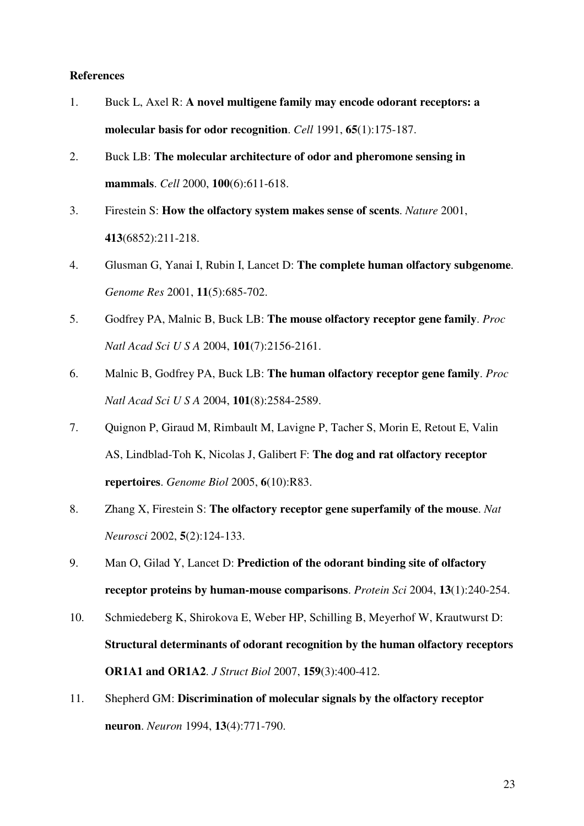# **References**

- 1. Buck L, Axel R: **A novel multigene family may encode odorant receptors: a molecular basis for odor recognition**. *Cell* 1991, **65**(1):175-187.
- 2. Buck LB: **The molecular architecture of odor and pheromone sensing in mammals**. *Cell* 2000, **100**(6):611-618.
- 3. Firestein S: **How the olfactory system makes sense of scents**. *Nature* 2001, **413**(6852):211-218.
- 4. Glusman G, Yanai I, Rubin I, Lancet D: **The complete human olfactory subgenome**. *Genome Res* 2001, **11**(5):685-702.
- 5. Godfrey PA, Malnic B, Buck LB: **The mouse olfactory receptor gene family**. *Proc Natl Acad Sci U S A* 2004, **101**(7):2156-2161.
- 6. Malnic B, Godfrey PA, Buck LB: **The human olfactory receptor gene family**. *Proc Natl Acad Sci U S A* 2004, **101**(8):2584-2589.
- 7. Quignon P, Giraud M, Rimbault M, Lavigne P, Tacher S, Morin E, Retout E, Valin AS, Lindblad-Toh K, Nicolas J, Galibert F: **The dog and rat olfactory receptor repertoires**. *Genome Biol* 2005, **6**(10):R83.
- 8. Zhang X, Firestein S: **The olfactory receptor gene superfamily of the mouse**. *Nat Neurosci* 2002, **5**(2):124-133.
- 9. Man O, Gilad Y, Lancet D: **Prediction of the odorant binding site of olfactory receptor proteins by human-mouse comparisons**. *Protein Sci* 2004, **13**(1):240-254.
- 10. Schmiedeberg K, Shirokova E, Weber HP, Schilling B, Meyerhof W, Krautwurst D: **Structural determinants of odorant recognition by the human olfactory receptors OR1A1 and OR1A2**. *J Struct Biol* 2007, **159**(3):400-412.
- 11. Shepherd GM: **Discrimination of molecular signals by the olfactory receptor neuron**. *Neuron* 1994, **13**(4):771-790.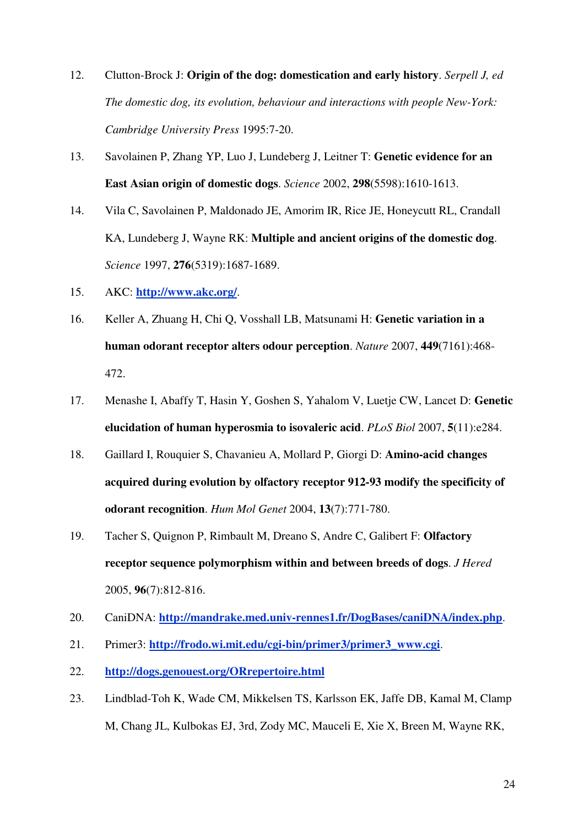- 12. Clutton-Brock J: **Origin of the dog: domestication and early history**. *Serpell J, ed The domestic dog, its evolution, behaviour and interactions with people New-York: Cambridge University Press* 1995:7-20.
- 13. Savolainen P, Zhang YP, Luo J, Lundeberg J, Leitner T: **Genetic evidence for an East Asian origin of domestic dogs**. *Science* 2002, **298**(5598):1610-1613.
- 14. Vila C, Savolainen P, Maldonado JE, Amorim IR, Rice JE, Honeycutt RL, Crandall KA, Lundeberg J, Wayne RK: **Multiple and ancient origins of the domestic dog**. *Science* 1997, **276**(5319):1687-1689.
- 15. AKC: **http://www.akc.org/**.
- 16. Keller A, Zhuang H, Chi Q, Vosshall LB, Matsunami H: **Genetic variation in a human odorant receptor alters odour perception**. *Nature* 2007, **449**(7161):468- 472.
- 17. Menashe I, Abaffy T, Hasin Y, Goshen S, Yahalom V, Luetje CW, Lancet D: **Genetic elucidation of human hyperosmia to isovaleric acid**. *PLoS Biol* 2007, **5**(11):e284.
- 18. Gaillard I, Rouquier S, Chavanieu A, Mollard P, Giorgi D: **Amino-acid changes acquired during evolution by olfactory receptor 912-93 modify the specificity of odorant recognition**. *Hum Mol Genet* 2004, **13**(7):771-780.
- 19. Tacher S, Quignon P, Rimbault M, Dreano S, Andre C, Galibert F: **Olfactory receptor sequence polymorphism within and between breeds of dogs**. *J Hered*  2005, **96**(7):812-816.
- 20. CaniDNA: **http://mandrake.med.univ-rennes1.fr/DogBases/caniDNA/index.php**.
- 21. Primer3: **http://frodo.wi.mit.edu/cgi-bin/primer3/primer3\_www.cgi**.
- 22. **http://dogs.genouest.org/ORrepertoire.html**
- 23. Lindblad-Toh K, Wade CM, Mikkelsen TS, Karlsson EK, Jaffe DB, Kamal M, Clamp M, Chang JL, Kulbokas EJ, 3rd, Zody MC, Mauceli E, Xie X, Breen M, Wayne RK,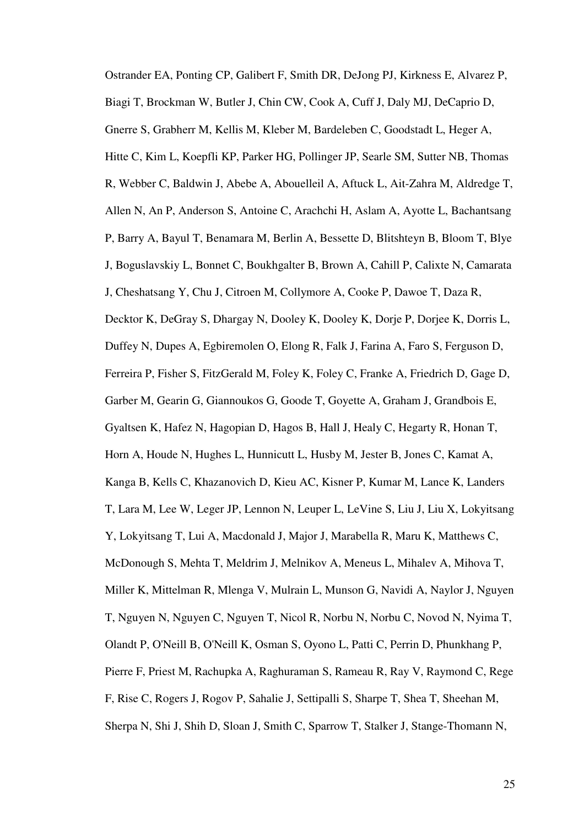Ostrander EA, Ponting CP, Galibert F, Smith DR, DeJong PJ, Kirkness E, Alvarez P, Biagi T, Brockman W, Butler J, Chin CW, Cook A, Cuff J, Daly MJ, DeCaprio D, Gnerre S, Grabherr M, Kellis M, Kleber M, Bardeleben C, Goodstadt L, Heger A, Hitte C, Kim L, Koepfli KP, Parker HG, Pollinger JP, Searle SM, Sutter NB, Thomas R, Webber C, Baldwin J, Abebe A, Abouelleil A, Aftuck L, Ait-Zahra M, Aldredge T, Allen N, An P, Anderson S, Antoine C, Arachchi H, Aslam A, Ayotte L, Bachantsang P, Barry A, Bayul T, Benamara M, Berlin A, Bessette D, Blitshteyn B, Bloom T, Blye J, Boguslavskiy L, Bonnet C, Boukhgalter B, Brown A, Cahill P, Calixte N, Camarata J, Cheshatsang Y, Chu J, Citroen M, Collymore A, Cooke P, Dawoe T, Daza R, Decktor K, DeGray S, Dhargay N, Dooley K, Dooley K, Dorje P, Dorjee K, Dorris L, Duffey N, Dupes A, Egbiremolen O, Elong R, Falk J, Farina A, Faro S, Ferguson D, Ferreira P, Fisher S, FitzGerald M, Foley K, Foley C, Franke A, Friedrich D, Gage D, Garber M, Gearin G, Giannoukos G, Goode T, Goyette A, Graham J, Grandbois E, Gyaltsen K, Hafez N, Hagopian D, Hagos B, Hall J, Healy C, Hegarty R, Honan T, Horn A, Houde N, Hughes L, Hunnicutt L, Husby M, Jester B, Jones C, Kamat A, Kanga B, Kells C, Khazanovich D, Kieu AC, Kisner P, Kumar M, Lance K, Landers T, Lara M, Lee W, Leger JP, Lennon N, Leuper L, LeVine S, Liu J, Liu X, Lokyitsang Y, Lokyitsang T, Lui A, Macdonald J, Major J, Marabella R, Maru K, Matthews C, McDonough S, Mehta T, Meldrim J, Melnikov A, Meneus L, Mihalev A, Mihova T, Miller K, Mittelman R, Mlenga V, Mulrain L, Munson G, Navidi A, Naylor J, Nguyen T, Nguyen N, Nguyen C, Nguyen T, Nicol R, Norbu N, Norbu C, Novod N, Nyima T, Olandt P, O'Neill B, O'Neill K, Osman S, Oyono L, Patti C, Perrin D, Phunkhang P, Pierre F, Priest M, Rachupka A, Raghuraman S, Rameau R, Ray V, Raymond C, Rege F, Rise C, Rogers J, Rogov P, Sahalie J, Settipalli S, Sharpe T, Shea T, Sheehan M, Sherpa N, Shi J, Shih D, Sloan J, Smith C, Sparrow T, Stalker J, Stange-Thomann N,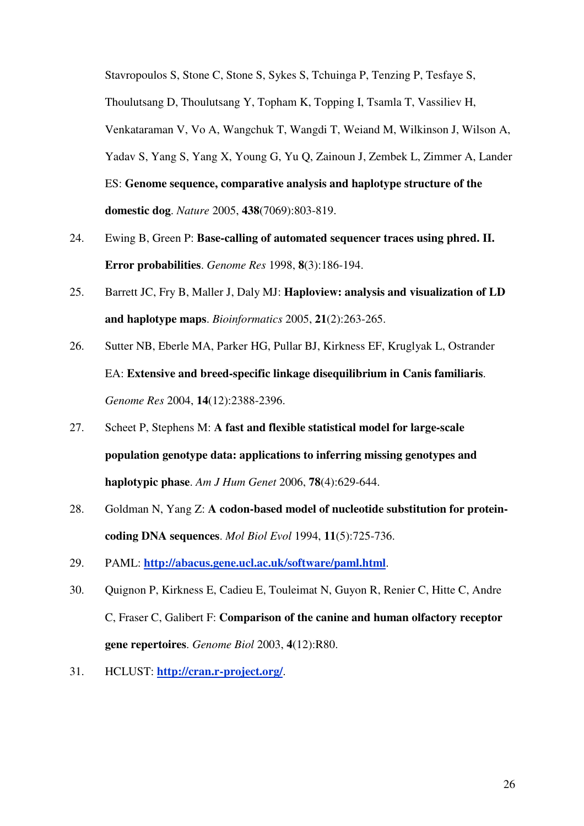Stavropoulos S, Stone C, Stone S, Sykes S, Tchuinga P, Tenzing P, Tesfaye S, Thoulutsang D, Thoulutsang Y, Topham K, Topping I, Tsamla T, Vassiliev H, Venkataraman V, Vo A, Wangchuk T, Wangdi T, Weiand M, Wilkinson J, Wilson A, Yadav S, Yang S, Yang X, Young G, Yu Q, Zainoun J, Zembek L, Zimmer A, Lander ES: **Genome sequence, comparative analysis and haplotype structure of the domestic dog**. *Nature* 2005, **438**(7069):803-819.

- 24. Ewing B, Green P: **Base-calling of automated sequencer traces using phred. II. Error probabilities**. *Genome Res* 1998, **8**(3):186-194.
- 25. Barrett JC, Fry B, Maller J, Daly MJ: **Haploview: analysis and visualization of LD and haplotype maps**. *Bioinformatics* 2005, **21**(2):263-265.
- 26. Sutter NB, Eberle MA, Parker HG, Pullar BJ, Kirkness EF, Kruglyak L, Ostrander EA: **Extensive and breed-specific linkage disequilibrium in Canis familiaris**. *Genome Res* 2004, **14**(12):2388-2396.
- 27. Scheet P, Stephens M: **A fast and flexible statistical model for large-scale population genotype data: applications to inferring missing genotypes and haplotypic phase**. *Am J Hum Genet* 2006, **78**(4):629-644.
- 28. Goldman N, Yang Z: **A codon-based model of nucleotide substitution for proteincoding DNA sequences**. *Mol Biol Evol* 1994, **11**(5):725-736.
- 29. PAML: **http://abacus.gene.ucl.ac.uk/software/paml.html**.
- 30. Quignon P, Kirkness E, Cadieu E, Touleimat N, Guyon R, Renier C, Hitte C, Andre C, Fraser C, Galibert F: **Comparison of the canine and human olfactory receptor gene repertoires**. *Genome Biol* 2003, **4**(12):R80.
- 31. HCLUST: **http://cran.r-project.org/**.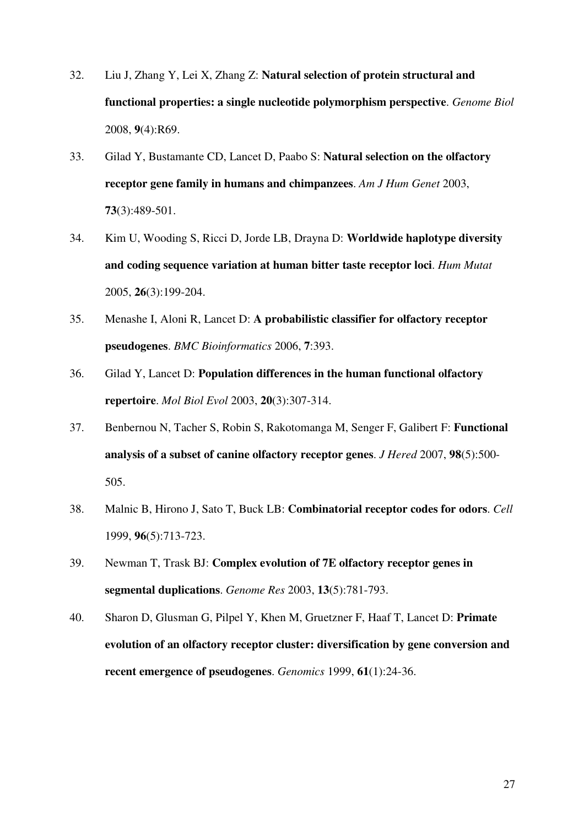- 32. Liu J, Zhang Y, Lei X, Zhang Z: **Natural selection of protein structural and functional properties: a single nucleotide polymorphism perspective**. *Genome Biol*  2008, **9**(4):R69.
- 33. Gilad Y, Bustamante CD, Lancet D, Paabo S: **Natural selection on the olfactory receptor gene family in humans and chimpanzees**. *Am J Hum Genet* 2003, **73**(3):489-501.
- 34. Kim U, Wooding S, Ricci D, Jorde LB, Drayna D: **Worldwide haplotype diversity and coding sequence variation at human bitter taste receptor loci**. *Hum Mutat*  2005, **26**(3):199-204.
- 35. Menashe I, Aloni R, Lancet D: **A probabilistic classifier for olfactory receptor pseudogenes**. *BMC Bioinformatics* 2006, **7**:393.
- 36. Gilad Y, Lancet D: **Population differences in the human functional olfactory repertoire**. *Mol Biol Evol* 2003, **20**(3):307-314.
- 37. Benbernou N, Tacher S, Robin S, Rakotomanga M, Senger F, Galibert F: **Functional analysis of a subset of canine olfactory receptor genes**. *J Hered* 2007, **98**(5):500- 505.
- 38. Malnic B, Hirono J, Sato T, Buck LB: **Combinatorial receptor codes for odors**. *Cell*  1999, **96**(5):713-723.
- 39. Newman T, Trask BJ: **Complex evolution of 7E olfactory receptor genes in segmental duplications**. *Genome Res* 2003, **13**(5):781-793.
- 40. Sharon D, Glusman G, Pilpel Y, Khen M, Gruetzner F, Haaf T, Lancet D: **Primate evolution of an olfactory receptor cluster: diversification by gene conversion and recent emergence of pseudogenes**. *Genomics* 1999, **61**(1):24-36.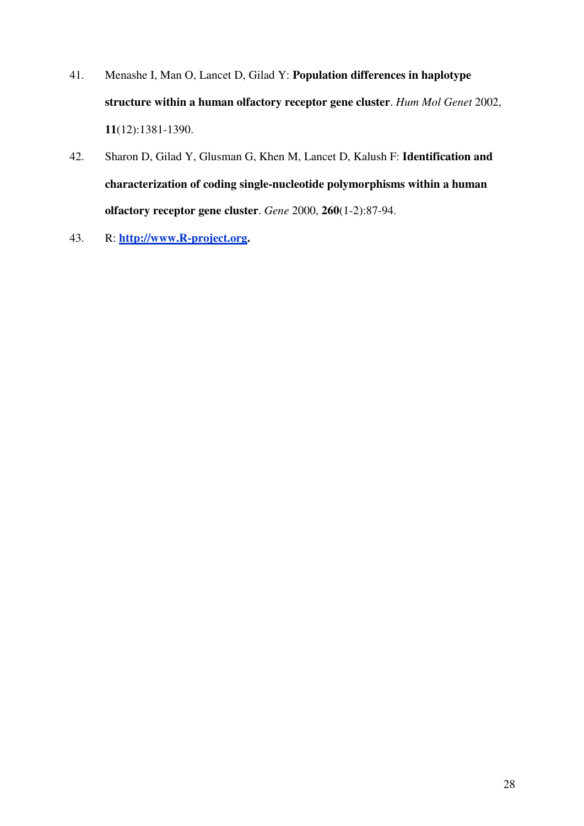- 41. Menashe I, Man O, Lancet D, Gilad Y: **Population differences in haplotype structure within a human olfactory receptor gene cluster**. *Hum Mol Genet* 2002, **11**(12):1381-1390.
- 42. Sharon D, Gilad Y, Glusman G, Khen M, Lancet D, Kalush F: **Identification and characterization of coding single-nucleotide polymorphisms within a human olfactory receptor gene cluster**. *Gene* 2000, **260**(1-2):87-94.
- 43. R: **http://www.R-project.org.**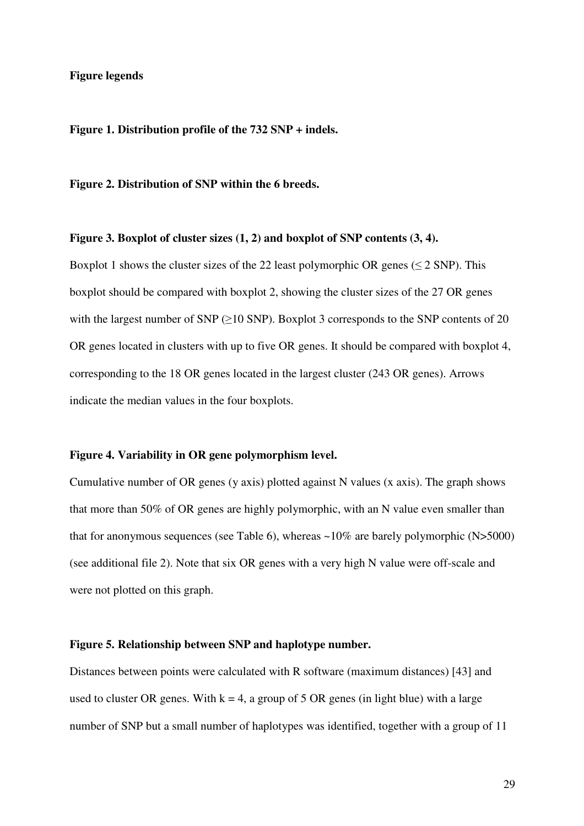# **Figure legends**

#### **Figure 1. Distribution profile of the 732 SNP + indels.**

**Figure 2. Distribution of SNP within the 6 breeds.** 

## **Figure 3. Boxplot of cluster sizes (1, 2) and boxplot of SNP contents (3, 4).**

Boxplot 1 shows the cluster sizes of the 22 least polymorphic OR genes ( $\leq$  2 SNP). This boxplot should be compared with boxplot 2, showing the cluster sizes of the 27 OR genes with the largest number of SNP  $(\geq 10 \text{ SNP})$ . Boxplot 3 corresponds to the SNP contents of 20 OR genes located in clusters with up to five OR genes. It should be compared with boxplot 4, corresponding to the 18 OR genes located in the largest cluster (243 OR genes). Arrows indicate the median values in the four boxplots.

#### **Figure 4. Variability in OR gene polymorphism level.**

Cumulative number of OR genes (y axis) plotted against N values (x axis). The graph shows that more than 50% of OR genes are highly polymorphic, with an N value even smaller than that for anonymous sequences (see Table 6), whereas  $\sim 10\%$  are barely polymorphic (N>5000) (see additional file 2). Note that six OR genes with a very high N value were off-scale and were not plotted on this graph.

#### **Figure 5. Relationship between SNP and haplotype number.**

Distances between points were calculated with R software (maximum distances) [43] and used to cluster OR genes. With  $k = 4$ , a group of 5 OR genes (in light blue) with a large number of SNP but a small number of haplotypes was identified, together with a group of 11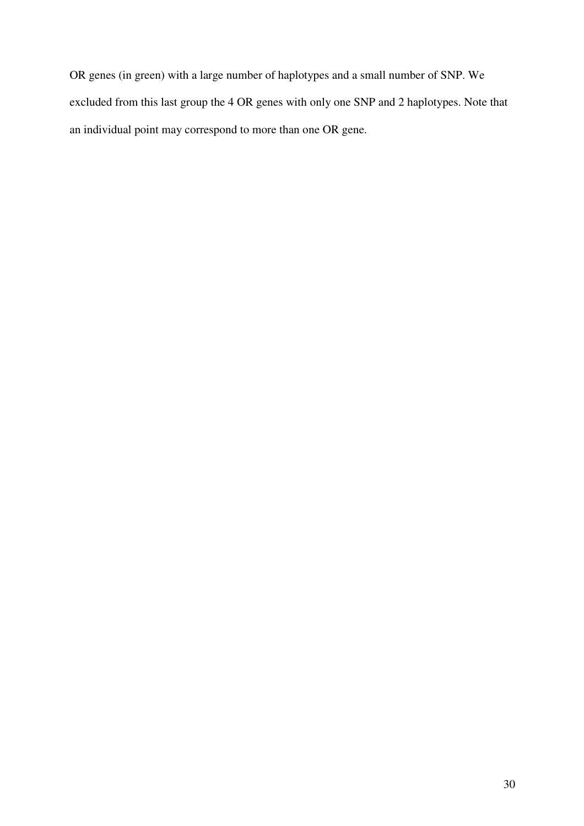OR genes (in green) with a large number of haplotypes and a small number of SNP. We excluded from this last group the 4 OR genes with only one SNP and 2 haplotypes. Note that an individual point may correspond to more than one OR gene.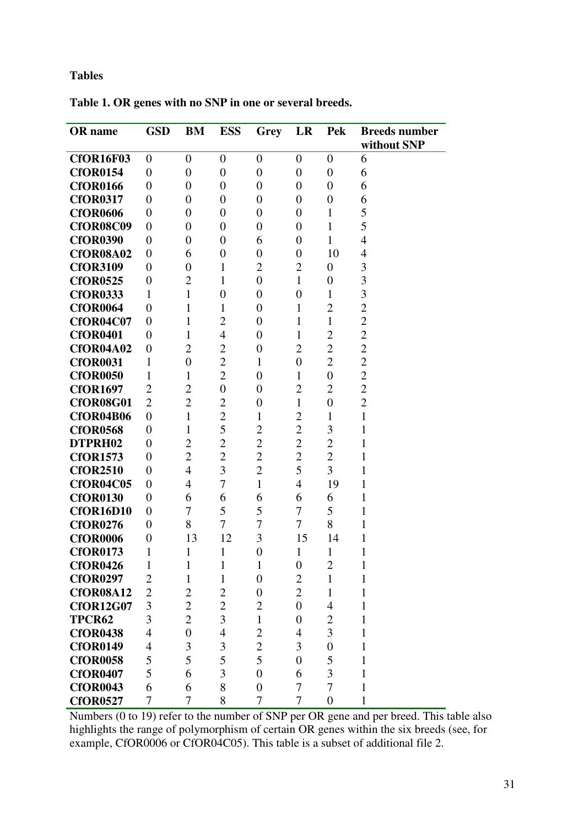**Tables** 

| OR name             | <b>GSD</b>       | BM               | <b>ESS</b>       | Grey             | LR               | <b>Pek</b>       | <b>Breeds number</b> |
|---------------------|------------------|------------------|------------------|------------------|------------------|------------------|----------------------|
|                     |                  |                  |                  |                  |                  |                  | without SNP          |
| <b>CfOR16F03</b>    | $\overline{0}$   | $\overline{0}$   | $\theta$         | $\overline{0}$   | $\boldsymbol{0}$ | $\overline{0}$   | 6                    |
| <b>CfOR0154</b>     | $\overline{0}$   | $\overline{0}$   | $\overline{0}$   | $\overline{0}$   | $\boldsymbol{0}$ | $\boldsymbol{0}$ | 6                    |
| <b>CfOR0166</b>     | $\overline{0}$   | $\overline{0}$   | $\overline{0}$   | $\overline{0}$   | $\boldsymbol{0}$ | $\boldsymbol{0}$ | 6                    |
| <b>CfOR0317</b>     | $\overline{0}$   | $\boldsymbol{0}$ | $\overline{0}$   | $\boldsymbol{0}$ | $\boldsymbol{0}$ | $\boldsymbol{0}$ | 6                    |
| <b>CfOR0606</b>     | $\boldsymbol{0}$ | $\overline{0}$   | $\overline{0}$   | $\boldsymbol{0}$ | $\boldsymbol{0}$ | $\mathbf{1}$     | 5                    |
| CfOR08C09           | $\overline{0}$   | $\overline{0}$   | $\overline{0}$   | $\boldsymbol{0}$ | $\boldsymbol{0}$ | $\mathbf{1}$     | 5                    |
| <b>CfOR0390</b>     | $\boldsymbol{0}$ | $\overline{0}$   | $\boldsymbol{0}$ | 6                | $\boldsymbol{0}$ | $\mathbf{1}$     | 4                    |
| <b>CfOR08A02</b>    | $\overline{0}$   | 6                | $\boldsymbol{0}$ | $\boldsymbol{0}$ | $\boldsymbol{0}$ | 10               | $\overline{4}$       |
| <b>CfOR3109</b>     | $\overline{0}$   | $\boldsymbol{0}$ | 1                | $\overline{2}$   | $\overline{c}$   | $\boldsymbol{0}$ | 3                    |
| <b>CfOR0525</b>     | $\overline{0}$   | $\overline{2}$   | $\mathbf{1}$     | $\boldsymbol{0}$ | $\mathbf{1}$     | $\boldsymbol{0}$ | 3                    |
| <b>CfOR0333</b>     | 1                | $\mathbf{1}$     | $\overline{0}$   | $\boldsymbol{0}$ | $\boldsymbol{0}$ | $\mathbf{1}$     | 3                    |
| <b>CfOR0064</b>     | $\overline{0}$   | $\mathbf{1}$     | 1                | $\boldsymbol{0}$ | $\mathbf{1}$     | $\overline{2}$   | $\overline{c}$       |
| <b>CfOR04C07</b>    | $\overline{0}$   | $\mathbf{1}$     | $\overline{2}$   | $\boldsymbol{0}$ | $\mathbf{1}$     | $\mathbf{1}$     | $\overline{2}$       |
| <b>CfOR0401</b>     | $\overline{0}$   | $\mathbf{1}$     | $\overline{4}$   | $\boldsymbol{0}$ | $\mathbf{1}$     | $\overline{c}$   | $\overline{c}$       |
| <b>CfOR04A02</b>    | $\boldsymbol{0}$ | $\overline{2}$   | $\overline{2}$   | $\boldsymbol{0}$ | $\overline{2}$   | $\overline{2}$   | $\overline{2}$       |
| <b>CfOR0031</b>     | 1                | $\overline{0}$   | $\overline{c}$   | $\mathbf{1}$     | $\boldsymbol{0}$ | $\overline{c}$   | $\overline{c}$       |
| <b>CfOR0050</b>     | 1                | 1                | $\overline{2}$   | $\boldsymbol{0}$ | $\mathbf{1}$     | $\boldsymbol{0}$ | $\overline{c}$       |
| <b>CfOR1697</b>     | $\overline{2}$   | $\overline{2}$   | $\boldsymbol{0}$ | $\boldsymbol{0}$ | $\overline{c}$   | $\overline{2}$   | $\overline{c}$       |
| <b>CfOR08G01</b>    | $\overline{2}$   | $\overline{2}$   | $\overline{c}$   | $\boldsymbol{0}$ | $\mathbf{1}$     | $\boldsymbol{0}$ | $\overline{c}$       |
| <b>CfOR04B06</b>    | $\overline{0}$   | $\mathbf{1}$     | $\overline{2}$   | 1                | $\overline{2}$   | $\mathbf{1}$     | $\mathbf{1}$         |
| <b>CfOR0568</b>     | $\overline{0}$   | $\mathbf{1}$     | 5                | $\overline{c}$   | $\overline{c}$   | 3                | $\mathbf{1}$         |
| DTPRH <sub>02</sub> | $\overline{0}$   | $\overline{c}$   | $\overline{c}$   | $\overline{c}$   | $\overline{2}$   | $\overline{c}$   | $\mathbf{1}$         |
| <b>CfOR1573</b>     | $\overline{0}$   | $\overline{2}$   | $\overline{c}$   | $\overline{2}$   | $\overline{c}$   | $\overline{2}$   | $\mathbf{1}$         |
| <b>CfOR2510</b>     | $\boldsymbol{0}$ | $\overline{4}$   | 3                | $\overline{c}$   | 5                | 3                | 1                    |
| <b>CfOR04C05</b>    | $\overline{0}$   | $\overline{4}$   | $\overline{7}$   | $\mathbf{1}$     | $\overline{4}$   | 19               | $\mathbf{1}$         |
| <b>CfOR0130</b>     | $\overline{0}$   | 6                | 6                | 6                | 6                | 6                | 1                    |
| <b>CfOR16D10</b>    | $\boldsymbol{0}$ | 7                | 5                | 5                | $\overline{7}$   | 5                | $\mathbf{1}$         |
| <b>CfOR0276</b>     | $\overline{0}$   | 8                | 7                | $\overline{7}$   | $\overline{7}$   | 8                | $\mathbf{1}$         |
| <b>CfOR0006</b>     | $\boldsymbol{0}$ | 13               | 12               | 3                | 15               | 14               | 1                    |
| <b>CfOR0173</b>     | 1                | $\mathbf{1}$     | $\mathbf{1}$     | $\boldsymbol{0}$ | $\mathbf{1}$     | 1                | $\mathbf{1}$         |
| <b>CfOR0426</b>     | 1                | 1                | $\mathbf{1}$     | $\mathbf{1}$     | $\boldsymbol{0}$ | $\overline{c}$   | 1                    |
| <b>CfOR0297</b>     | $\overline{2}$   | $\mathbf{1}$     | $\mathbf{1}$     | $\boldsymbol{0}$ | $\overline{2}$   | $\mathbf{1}$     | $\mathbf{1}$         |
| <b>CfOR08A12</b>    | $\overline{2}$   | $\overline{c}$   | $\overline{c}$   | $\boldsymbol{0}$ | $\overline{2}$   | $\mathbf{1}$     | 1                    |
| <b>CfOR12G07</b>    | 3                | $\overline{c}$   | $\overline{2}$   | $\overline{2}$   | $\boldsymbol{0}$ | $\overline{4}$   | $\mathbf{1}$         |
| TPCR62              | 3                | $\overline{2}$   | $\overline{3}$   | $\mathbf{1}$     | $\boldsymbol{0}$ | $\overline{2}$   | $\mathbf{1}$         |
| <b>CfOR0438</b>     | $\overline{4}$   | $\overline{0}$   | $\overline{4}$   | $\overline{c}$   | $\overline{4}$   | 3                | $\mathbf{1}$         |
| <b>CfOR0149</b>     | 4                | 3                | 3                | $\overline{2}$   | 3                | $\overline{0}$   | $\mathbf{1}$         |
| <b>CfOR0058</b>     | 5                | 5                | 5                | 5                | $\boldsymbol{0}$ | 5                | $\mathbf{1}$         |
| <b>CfOR0407</b>     | 5                | 6                | 3                | $\overline{0}$   | 6                | 3                | $\mathbf{1}$         |
| <b>CfOR0043</b>     | 6                | 6                | 8                | $\boldsymbol{0}$ | 7                | $\overline{7}$   | $\mathbf{1}$         |
| <b>CfOR0527</b>     | 7                | 7                | 8                | 7                | 7                | $\boldsymbol{0}$ | $\mathbf{1}$         |

**Table 1. OR genes with no SNP in one or several breeds.**

Numbers (0 to 19) refer to the number of SNP per OR gene and per breed. This table also highlights the range of polymorphism of certain OR genes within the six breeds (see, for example, CfOR0006 or CfOR04C05). This table is a subset of additional file 2.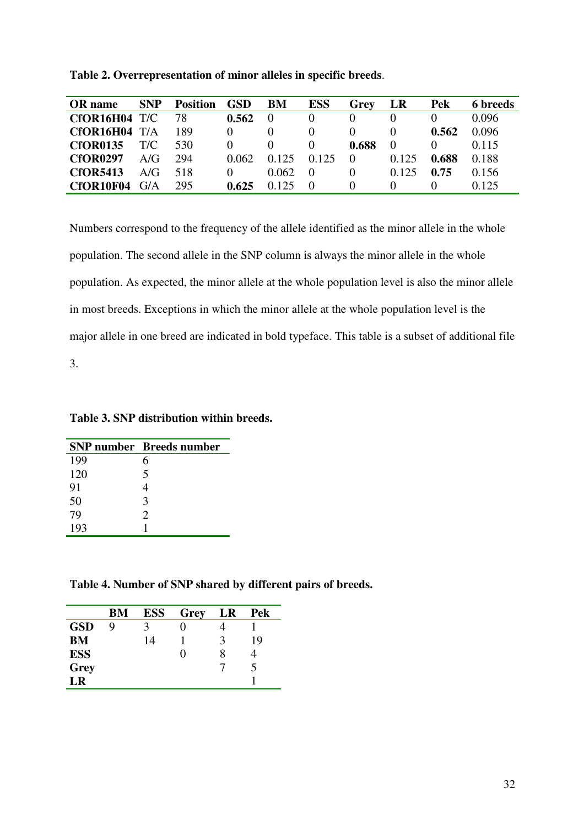| <b>OR</b> name   | <b>SNP</b> | <b>Position</b> | <b>GSD</b> | BM       | <b>ESS</b> | Grey     | LR       | <b>Pek</b> | <b>6</b> breeds |
|------------------|------------|-----------------|------------|----------|------------|----------|----------|------------|-----------------|
| $CfoR16H04$ T/C  |            | 78              | 0.562      | $\Omega$ |            | $\theta$ |          |            | 0.096           |
| <b>CfOR16H04</b> | T/A        | 189             |            |          |            | $\theta$ | $\theta$ | 0.562      | 0.096           |
| <b>CfOR0135</b>  | T/C        | 530             |            |          |            | 0.688    |          |            | 0.115           |
| <b>CfOR0297</b>  | A/G        | 294             | 0.062      | 0.125    | 0.125      | $\Omega$ | 0.125    | 0.688      | 0.188           |
| <b>CfOR5413</b>  | A/G        | 518             |            | 0.062    | $\Omega$   | $\theta$ | 0.125    | 0.75       | 0.156           |
| CfOR10F04        | G/A        | 295             | 0.625      | 0.125    | $\Omega$   | $\theta$ |          |            | 0.125           |

**Table 2. Overrepresentation of minor alleles in specific breeds**.

Numbers correspond to the frequency of the allele identified as the minor allele in the whole population. The second allele in the SNP column is always the minor allele in the whole population. As expected, the minor allele at the whole population level is also the minor allele in most breeds. Exceptions in which the minor allele at the whole population level is the major allele in one breed are indicated in bold typeface. This table is a subset of additional file

3.

**Table 3. SNP distribution within breeds.** 

|     | <b>SNP</b> number Breeds number |
|-----|---------------------------------|
| 199 | 6                               |
| 120 | 5                               |
| 91  |                                 |
| 50  | 3                               |
| 79  | $\mathcal{D}_{\mathcal{L}}$     |
| 193 |                                 |

**Table 4. Number of SNP shared by different pairs of breeds.** 

|             | BM | <b>ESS</b> | Grey | LR | <b>Pek</b> |
|-------------|----|------------|------|----|------------|
| <b>GSD</b>  | g  |            |      |    |            |
| <b>BM</b>   |    | 14         |      | 3  | 19         |
| <b>ESS</b>  |    |            |      |    |            |
| <b>Grey</b> |    |            |      |    |            |
| LR          |    |            |      |    |            |
|             |    |            |      |    |            |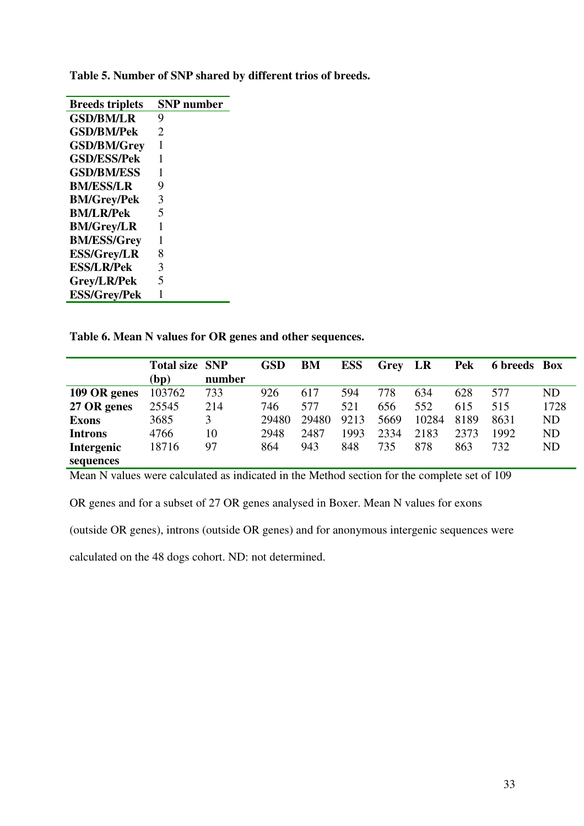| <b>Breeds triplets</b> | SNP number |
|------------------------|------------|
| <b>GSD/BM/LR</b>       | 9          |
| <b>GSD/BM/Pek</b>      | 2          |
| <b>GSD/BM/Grey</b>     | 1          |
| <b>GSD/ESS/Pek</b>     | 1          |
| <b>GSD/BM/ESS</b>      | 1          |
| <b>BM/ESS/LR</b>       | 9          |
| <b>BM/Grey/Pek</b>     | 3          |
| <b>BM/LR/Pek</b>       | 5          |
| <b>BM/Grey/LR</b>      | 1          |
| <b>BM/ESS/Grey</b>     | 1          |
| <b>ESS/Grey/LR</b>     | 8          |
| <b>ESS/LR/Pek</b>      | 3          |
| Grey/LR/Pek            | 5          |
| <b>ESS/Grey/Pek</b>    | 1          |

**Table 5. Number of SNP shared by different trios of breeds.** 

**Table 6. Mean N values for OR genes and other sequences.** 

|                | <b>Total size SNP</b> |        | <b>GSD</b> | <b>BM</b> | <b>ESS</b> | Grey LR |       | <b>Pek</b> | <b>6</b> breeds Box |           |
|----------------|-----------------------|--------|------------|-----------|------------|---------|-------|------------|---------------------|-----------|
|                | (bp)                  | number |            |           |            |         |       |            |                     |           |
| 109 OR genes   | 103762                | 733    | 926        | 617       | 594        | 778     | 634   | 628        | 577                 | ND        |
| 27 OR genes    | 25545                 | 214    | 746        | 577       | 521        | 656     | 552   | 615        | 515                 | 1728      |
| <b>Exons</b>   | 3685                  | 3      | 29480      | 29480     | 9213       | 5669    | 10284 | 8189       | 8631                | ND        |
| <b>Introns</b> | 4766                  | 10     | 2948       | 2487      | 1993       | 2334    | 2183  | 2373       | 1992                | <b>ND</b> |
| Intergenic     | 18716                 | 97     | 864        | 943       | 848        | 735     | 878   | 863        | 732                 | ND        |
| sequences      |                       |        |            |           |            |         |       |            |                     |           |

Mean N values were calculated as indicated in the Method section for the complete set of 109

OR genes and for a subset of 27 OR genes analysed in Boxer. Mean N values for exons

(outside OR genes), introns (outside OR genes) and for anonymous intergenic sequences were

calculated on the 48 dogs cohort. ND: not determined.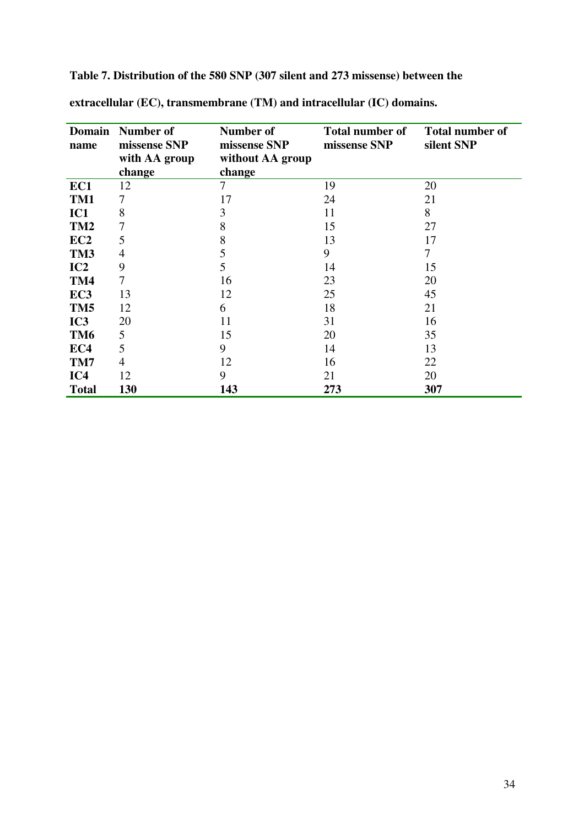**Table 7. Distribution of the 580 SNP (307 silent and 273 missense) between the** 

| name            | Domain Number of<br>missense SNP | Number of<br>missense SNP | <b>Total number of</b><br>missense SNP | <b>Total number of</b><br>silent SNP |
|-----------------|----------------------------------|---------------------------|----------------------------------------|--------------------------------------|
|                 | with AA group                    | without AA group          |                                        |                                      |
|                 | change                           | change                    |                                        |                                      |
| EC1             | 12                               | 7                         | 19                                     | 20                                   |
| TM1             | 7                                | 17                        | 24                                     | 21                                   |
| IC1             | 8                                | 3                         | 11                                     | 8                                    |
| TM <sub>2</sub> | 7                                | 8                         | 15                                     | 27                                   |
| EC2             | 5                                | 8                         | 13                                     | 17                                   |
| TM3             | 4                                | 5                         | 9                                      | 7                                    |
| IC2             | 9                                | 5                         | 14                                     | 15                                   |
| TM4             | 7                                | 16                        | 23                                     | 20                                   |
| EC <sub>3</sub> | 13                               | 12                        | 25                                     | 45                                   |
| TM <sub>5</sub> | 12                               | 6                         | 18                                     | 21                                   |
| IC <sub>3</sub> | 20                               | 11                        | 31                                     | 16                                   |
| TM <sub>6</sub> | 5                                | 15                        | 20                                     | 35                                   |
| EC4             | 5                                | 9                         | 14                                     | 13                                   |
| TM7             | 4                                | 12                        | 16                                     | 22                                   |
| IC <sub>4</sub> | 12                               | 9                         | 21                                     | 20                                   |
| <b>Total</b>    | 130                              | 143                       | 273                                    | 307                                  |

**extracellular (EC), transmembrane (TM) and intracellular (IC) domains.**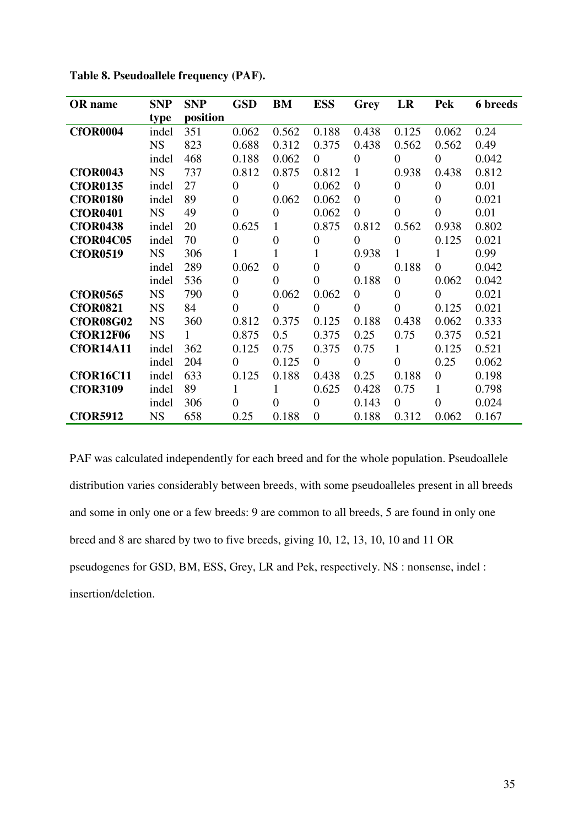| <b>OR</b> name   | <b>SNP</b> | <b>SNP</b>   | <b>GSD</b>       | BM             | <b>ESS</b>     | Grey             | LR               | <b>Pek</b>     | <b>6</b> breeds |
|------------------|------------|--------------|------------------|----------------|----------------|------------------|------------------|----------------|-----------------|
|                  | type       | position     |                  |                |                |                  |                  |                |                 |
| <b>CfOR0004</b>  | indel      | 351          | 0.062            | 0.562          | 0.188          | 0.438            | 0.125            | 0.062          | 0.24            |
|                  | <b>NS</b>  | 823          | 0.688            | 0.312          | 0.375          | 0.438            | 0.562            | 0.562          | 0.49            |
|                  | indel      | 468          | 0.188            | 0.062          | $\theta$       | $\overline{0}$   | 0                | 0              | 0.042           |
| <b>CfOR0043</b>  | <b>NS</b>  | 737          | 0.812            | 0.875          | 0.812          | 1                | 0.938            | 0.438          | 0.812           |
| <b>CfOR0135</b>  | indel      | 27           | $\overline{0}$   | $\theta$       | 0.062          | $\overline{0}$   | 0                | 0              | 0.01            |
| <b>CfOR0180</b>  | indel      | 89           | $\boldsymbol{0}$ | 0.062          | 0.062          | $\overline{0}$   | 0                | 0              | 0.021           |
| <b>CfOR0401</b>  | <b>NS</b>  | 49           | $\overline{0}$   | $\overline{0}$ | 0.062          | $\overline{0}$   | $\overline{0}$   | 0              | 0.01            |
| <b>CfOR0438</b>  | indel      | 20           | 0.625            | $\mathbf{1}$   | 0.875          | 0.812            | 0.562            | 0.938          | 0.802           |
| <b>CfOR04C05</b> | indel      | 70           | $\boldsymbol{0}$ | $\overline{0}$ | 0              | $\boldsymbol{0}$ | $\boldsymbol{0}$ | 0.125          | 0.021           |
| <b>CfOR0519</b>  | <b>NS</b>  | 306          | 1                | 1              |                | 0.938            | 1                | 1              | 0.99            |
|                  | indel      | 289          | 0.062            | $\overline{0}$ | $\overline{0}$ | $\boldsymbol{0}$ | 0.188            | $\overline{0}$ | 0.042           |
|                  | indel      | 536          | $\boldsymbol{0}$ | $\overline{0}$ | $\overline{0}$ | 0.188            | $\boldsymbol{0}$ | 0.062          | 0.042           |
| <b>CfOR0565</b>  | <b>NS</b>  | 790          | $\overline{0}$   | 0.062          | 0.062          | $\overline{0}$   | $\boldsymbol{0}$ | $\theta$       | 0.021           |
| <b>CfOR0821</b>  | <b>NS</b>  | 84           | $\overline{0}$   | $\overline{0}$ | $\theta$       | $\boldsymbol{0}$ | $\overline{0}$   | 0.125          | 0.021           |
| <b>CfOR08G02</b> | <b>NS</b>  | 360          | 0.812            | 0.375          | 0.125          | 0.188            | 0.438            | 0.062          | 0.333           |
| <b>CfOR12F06</b> | <b>NS</b>  | $\mathbf{1}$ | 0.875            | 0.5            | 0.375          | 0.25             | 0.75             | 0.375          | 0.521           |
| <b>CfOR14A11</b> | indel      | 362          | 0.125            | 0.75           | 0.375          | 0.75             | $\mathbf 1$      | 0.125          | 0.521           |
|                  | indel      | 204          | $\overline{0}$   | 0.125          | $\overline{0}$ | $\overline{0}$   | $\overline{0}$   | 0.25           | 0.062           |
| <b>CfOR16C11</b> | indel      | 633          | 0.125            | 0.188          | 0.438          | 0.25             | 0.188            | $\Omega$       | 0.198           |
| <b>CfOR3109</b>  | indel      | 89           | 1                | 1              | 0.625          | 0.428            | 0.75             | 1              | 0.798           |
|                  | indel      | 306          | $\overline{0}$   | $\overline{0}$ | $\Omega$       | 0.143            | $\overline{0}$   | $\theta$       | 0.024           |
| <b>CfOR5912</b>  | <b>NS</b>  | 658          | 0.25             | 0.188          | $\overline{0}$ | 0.188            | 0.312            | 0.062          | 0.167           |

**Table 8. Pseudoallele frequency (PAF).** 

PAF was calculated independently for each breed and for the whole population. Pseudoallele distribution varies considerably between breeds, with some pseudoalleles present in all breeds and some in only one or a few breeds: 9 are common to all breeds, 5 are found in only one breed and 8 are shared by two to five breeds, giving 10, 12, 13, 10, 10 and 11 OR pseudogenes for GSD, BM, ESS, Grey, LR and Pek, respectively. NS : nonsense, indel : insertion/deletion.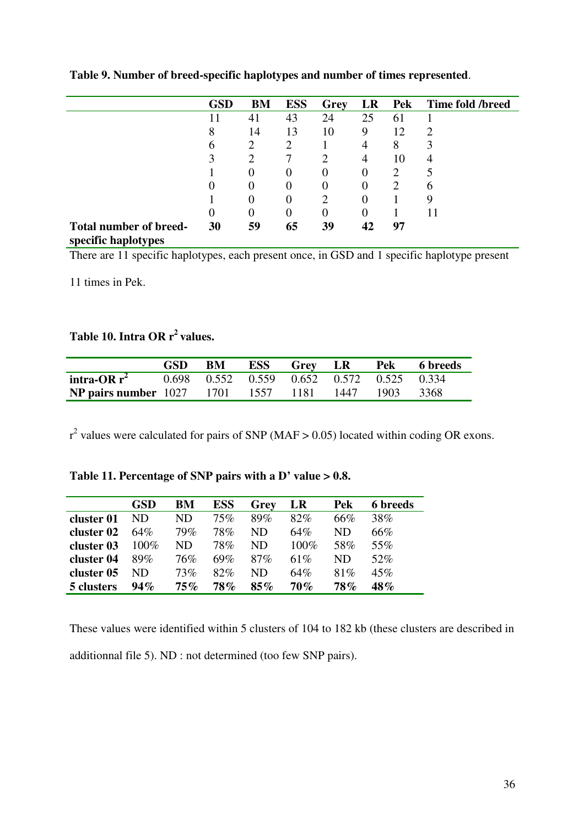|                                                      | <b>GSD</b> | BM             | <b>ESS</b> | <b>Grey</b> | LR                | <b>Pek</b> | Time fold /breed |
|------------------------------------------------------|------------|----------------|------------|-------------|-------------------|------------|------------------|
|                                                      | 11         | 41             | 43         | 24          | 25                | 61         |                  |
|                                                      | 8          | 14             | 13         | 10          | 9                 | 12         | ာ                |
|                                                      | 6          | 2              | ↑          |             | 4                 | 8          | 3                |
|                                                      |            | $\overline{2}$ |            |             | 4                 | 10         | 4                |
|                                                      |            | 0              | $\theta$   |             | $\Omega$          | 2          |                  |
|                                                      | O          | $\theta$       |            |             | $\theta$          | റ          | 6                |
|                                                      |            | 0              |            |             | 0                 |            |                  |
|                                                      | O          | $\theta$       |            |             | $\mathbf{\Omega}$ |            |                  |
| <b>Total number of breed-</b><br>specific haplotypes | 30         | 59             | 65         | 39          | 42                | 97         |                  |

**Table 9. Number of breed-specific haplotypes and number of times represented**.

There are 11 specific haplotypes, each present once, in GSD and 1 specific haplotype present

11 times in Pek.

# **Table 10. Intra OR r<sup>2</sup>values.**

|                                                                         | <b>GSD</b> | BM ESS Grey LR |  | Pek | 6 breeds |
|-------------------------------------------------------------------------|------------|----------------|--|-----|----------|
| <b>intra-OR r<sup>2</sup></b> 0.698 0.552 0.559 0.652 0.572 0.525 0.334 |            |                |  |     |          |
| <b>NP pairs number</b> 1027 1701 1557 1181 1447 1903 3368               |            |                |  |     |          |

 $r^2$  values were calculated for pairs of SNP (MAF > 0.05) located within coding OR exons.

| Table 11. Percentage of SNP pairs with a $D'$ value $> 0.8$ . |
|---------------------------------------------------------------|
|---------------------------------------------------------------|

|            | <b>GSD</b> | BМ     | <b>ESS</b> | Grey   | LR      | <b>Pek</b> | <b>6</b> breeds |
|------------|------------|--------|------------|--------|---------|------------|-----------------|
| cluster 01 | ND         | ND     | 75%        | 89%    | 82%     | 66%        | 38%             |
| cluster 02 | $64\%$     | 79%    | 78%        | ND     | $64\%$  | ND         | 66%             |
| cluster 03 | $100\%$    | ND     | 78%        | ND     | $100\%$ | 58%        | 55%             |
| cluster 04 | 89%        | 76%    | 69%        | 87%    | 61%     | ND         | 52%             |
| cluster 05 | ND         | 73%    | 82%        | ND     | 64%     | 81\%       | 45%             |
| 5 clusters | 94%        | $75\%$ | $78\%$     | $85\%$ | $70\%$  | 78%        | 48%             |

These values were identified within 5 clusters of 104 to 182 kb (these clusters are described in additionnal file 5). ND : not determined (too few SNP pairs).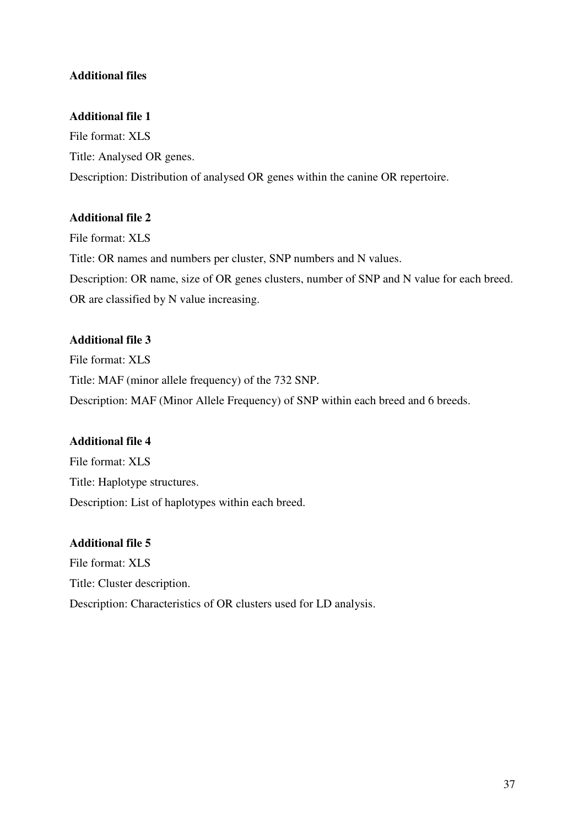# **Additional files**

# **Additional file 1**

File format: XLS Title: Analysed OR genes. Description: Distribution of analysed OR genes within the canine OR repertoire.

# **Additional file 2**

File format: XLS Title: OR names and numbers per cluster, SNP numbers and N values. Description: OR name, size of OR genes clusters, number of SNP and N value for each breed. OR are classified by N value increasing.

# **Additional file 3**

File format: XLS Title: MAF (minor allele frequency) of the 732 SNP. Description: MAF (Minor Allele Frequency) of SNP within each breed and 6 breeds.

# **Additional file 4**

File format: XLS Title: Haplotype structures. Description: List of haplotypes within each breed.

# **Additional file 5**

File format: XLS Title: Cluster description. Description: Characteristics of OR clusters used for LD analysis.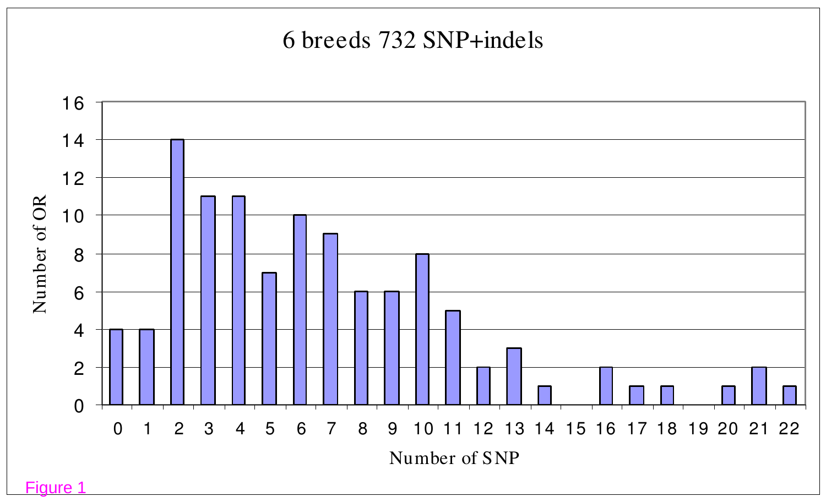## 6 breeds 732 SNP+indels

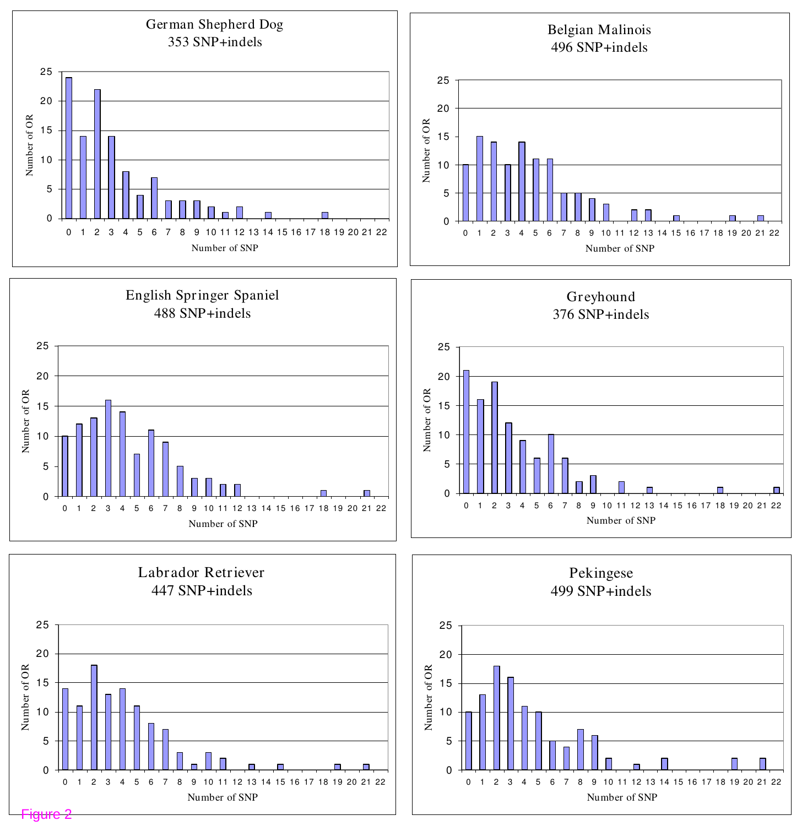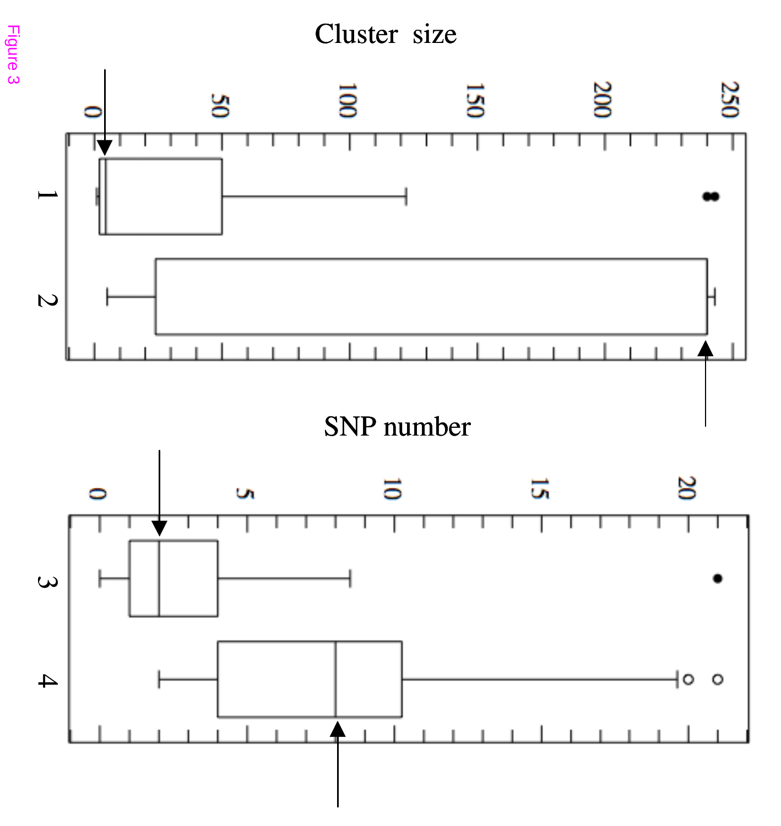

Figure 3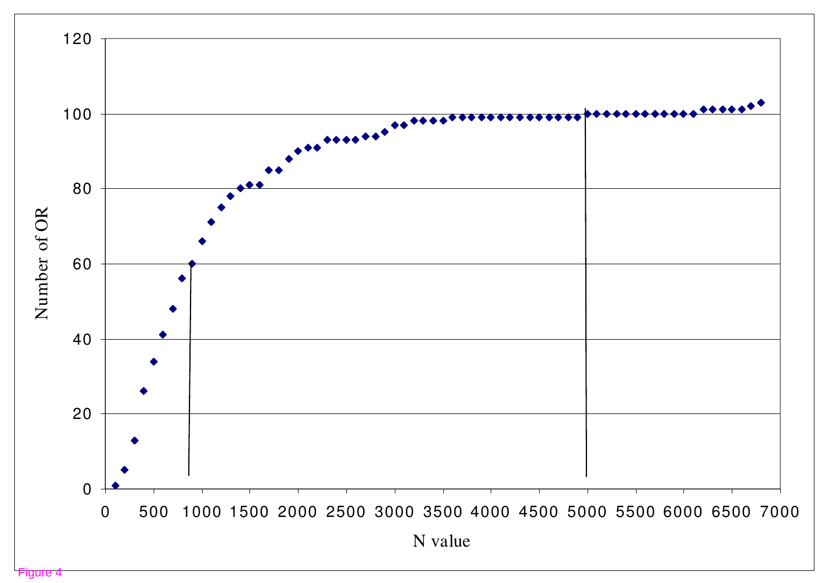

Figure 4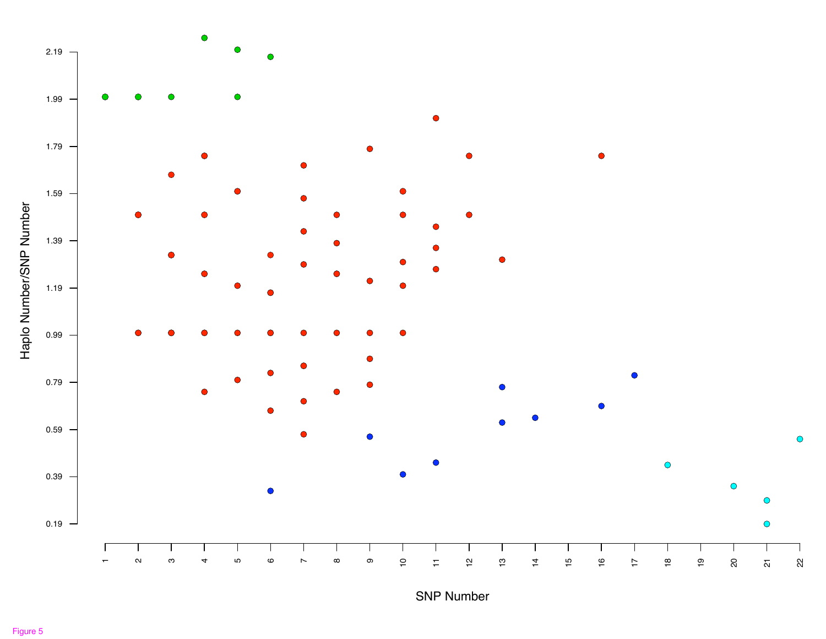

SNP Number